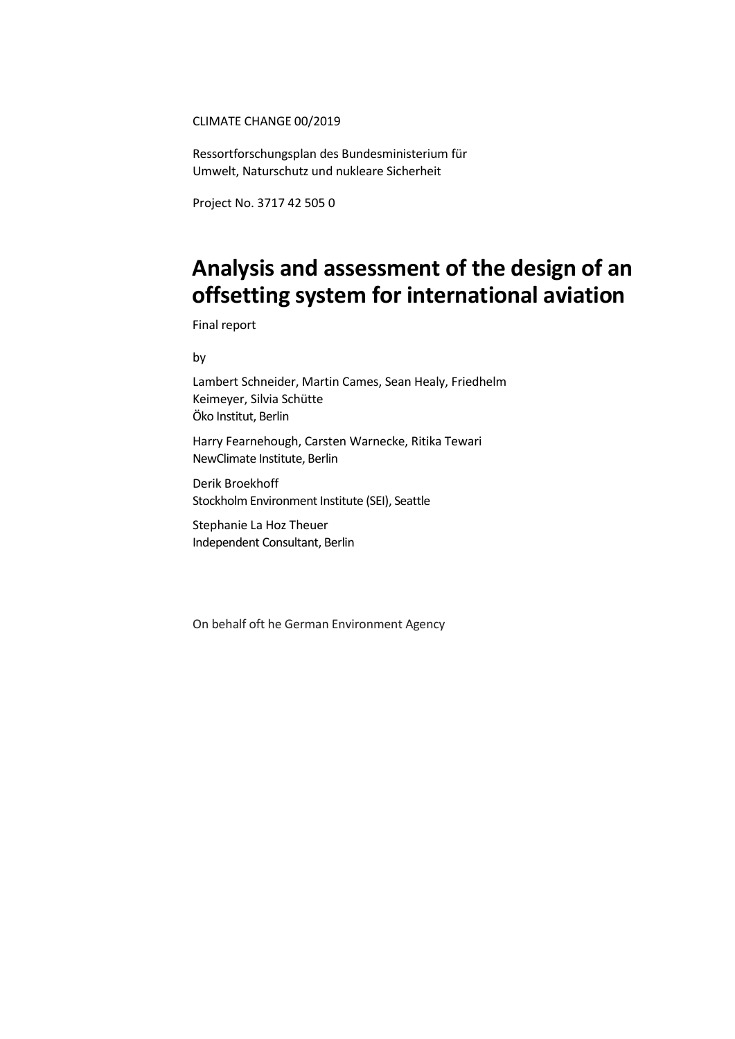#### CLIMATE CHANGE 00/2019

Ressortforschungsplan des Bundesministerium für Umwelt, Naturschutz und nukleare Sicherheit

Project No. 3717 42 505 0

# **Analysis and assessment of the design of an offsetting system for international aviation**

Final report

by

Lambert Schneider, Martin Cames, Sean Healy, Friedhelm Keimeyer, Silvia Schütte Öko Institut, Berlin

Harry Fearnehough, Carsten Warnecke, Ritika Tewari NewClimate Institute, Berlin

Derik Broekhoff Stockholm Environment Institute (SEI), Seattle

Stephanie La Hoz Theuer Independent Consultant, Berlin

On behalf oft he German Environment Agency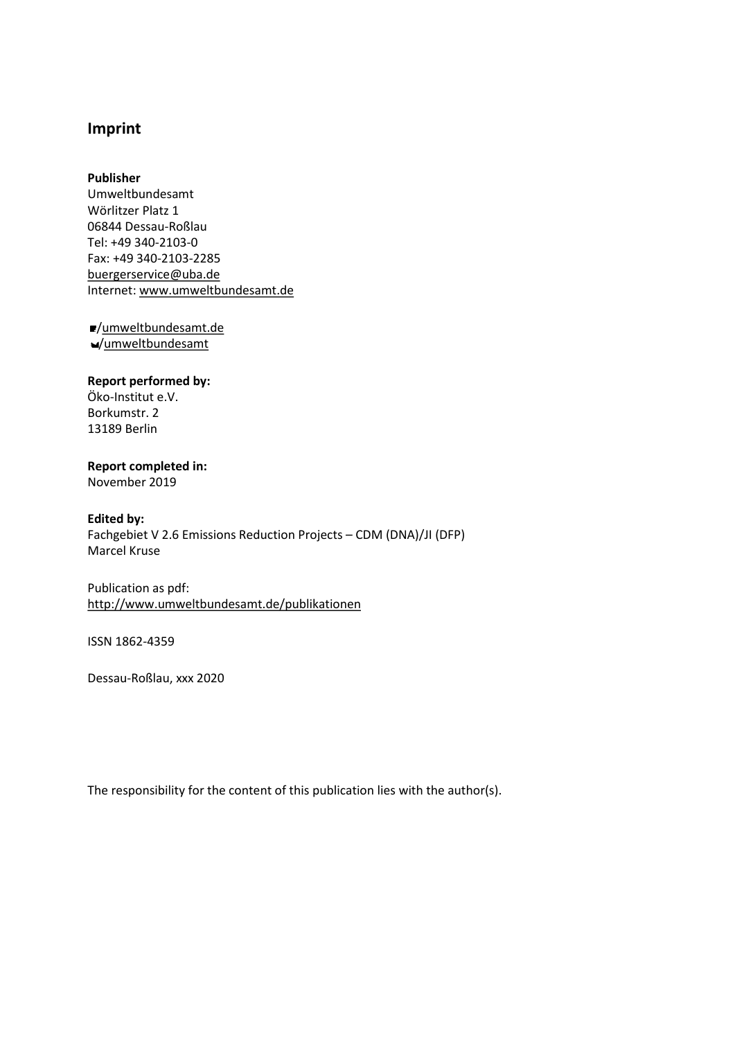### **Imprint**

#### **Publisher**

Umweltbundesamt Wörlitzer Platz 1 06844 Dessau-Roßlau Tel: +49 340-2103-0 Fax: +49 340-2103-2285 [buergerservice@uba.de](mailto:buergerservice@uba.de)  Internet: [www.umweltbundesamt.de](file:///C:\Users\j.reithinger\AppData\Local\Microsoft\Windows\INetCache\Content.Outlook\1KIYZW8V\www.umweltbundesamt.de)

/umweltbundesamt.de /umweltbundesamt

### **Report performed by:**

Öko-Institut e.V. Borkumstr. 2 13189 Berlin

### **Report completed in:**

November 2019

### **Edited by:**

Fachgebiet V 2.6 Emissions Reduction Projects – CDM (DNA)/JI (DFP) Marcel Kruse

Publication as pdf: <http://www.umweltbundesamt.de/publikationen>

ISSN 1862-4359

Dessau-Roßlau, xxx 2020

The responsibility for the content of this publication lies with the author(s).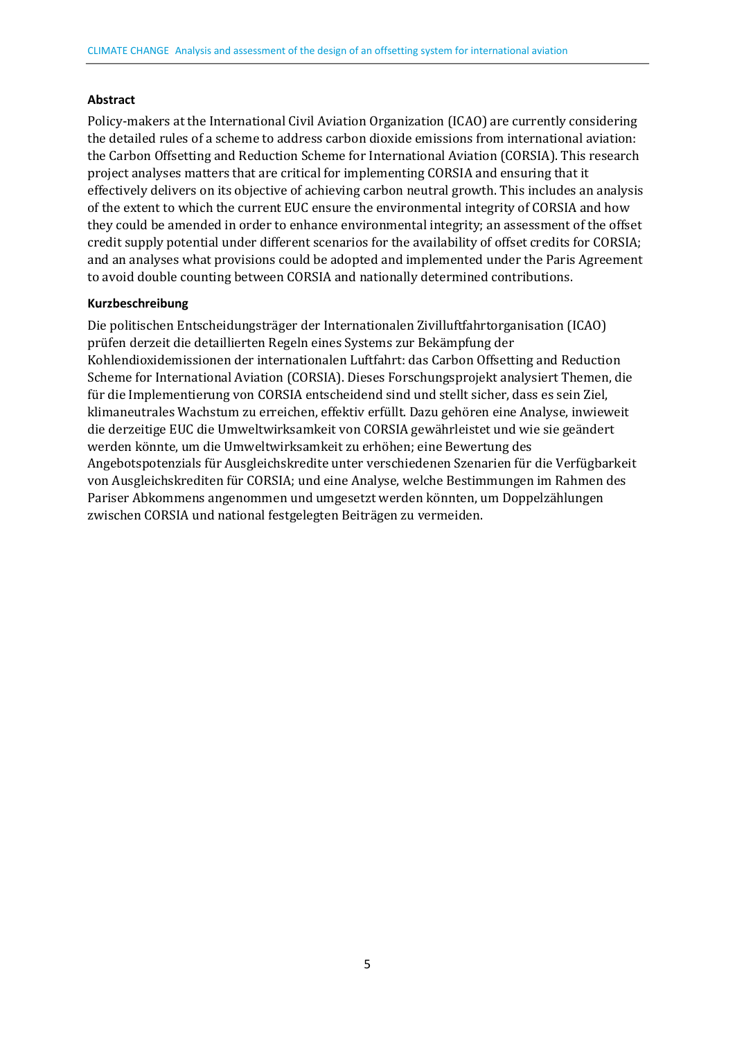#### **Abstract**

Policy-makers at the International Civil Aviation Organization (ICAO) are currently considering the detailed rules of a scheme to address carbon dioxide emissions from international aviation: the Carbon Offsetting and Reduction Scheme for International Aviation (CORSIA). This research project analyses matters that are critical for implementing CORSIA and ensuring that it effectively delivers on its objective of achieving carbon neutral growth. This includes an analysis of the extent to which the current EUC ensure the environmental integrity of CORSIA and how they could be amended in order to enhance environmental integrity; an assessment of the offset credit supply potential under different scenarios for the availability of offset credits for CORSIA; and an analyses what provisions could be adopted and implemented under the Paris Agreement to avoid double counting between CORSIA and nationally determined contributions.

#### **Kurzbeschreibung**

Die politischen Entscheidungsträger der Internationalen Zivilluftfahrtorganisation (ICAO) prüfen derzeit die detaillierten Regeln eines Systems zur Bekämpfung der Kohlendioxidemissionen der internationalen Luftfahrt: das Carbon Offsetting and Reduction Scheme for International Aviation (CORSIA). Dieses Forschungsprojekt analysiert Themen, die für die Implementierung von CORSIA entscheidend sind und stellt sicher, dass es sein Ziel, klimaneutrales Wachstum zu erreichen, effektiv erfüllt. Dazu gehören eine Analyse, inwieweit die derzeitige EUC die Umweltwirksamkeit von CORSIA gewährleistet und wie sie geändert werden könnte, um die Umweltwirksamkeit zu erhöhen; eine Bewertung des Angebotspotenzials für Ausgleichskredite unter verschiedenen Szenarien für die Verfügbarkeit von Ausgleichskrediten für CORSIA; und eine Analyse, welche Bestimmungen im Rahmen des Pariser Abkommens angenommen und umgesetzt werden könnten, um Doppelzählungen zwischen CORSIA und national festgelegten Beiträgen zu vermeiden.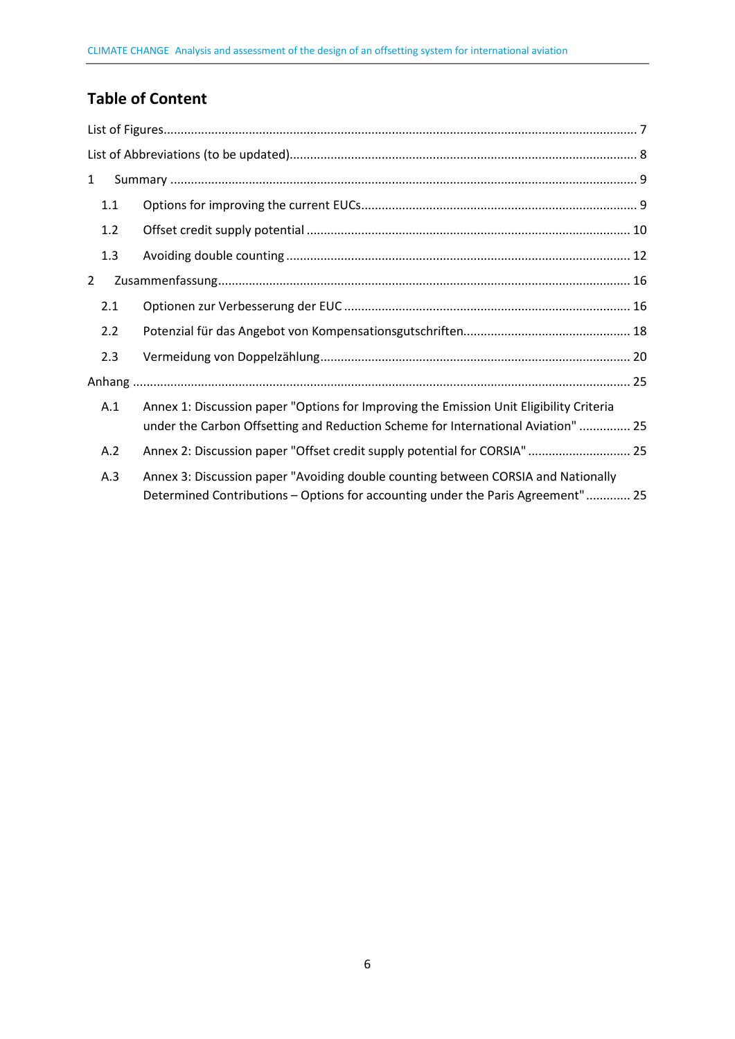## **Table of Content**

| $\mathbf{1}$ |     |                                                                                                                                                                             |  |
|--------------|-----|-----------------------------------------------------------------------------------------------------------------------------------------------------------------------------|--|
| 1.1          |     |                                                                                                                                                                             |  |
|              | 1.2 |                                                                                                                                                                             |  |
|              | 1.3 |                                                                                                                                                                             |  |
| 2            |     |                                                                                                                                                                             |  |
| 2.1          |     |                                                                                                                                                                             |  |
| 2.2          |     |                                                                                                                                                                             |  |
| 2.3          |     |                                                                                                                                                                             |  |
|              |     |                                                                                                                                                                             |  |
|              | A.1 | Annex 1: Discussion paper "Options for Improving the Emission Unit Eligibility Criteria<br>under the Carbon Offsetting and Reduction Scheme for International Aviation"  25 |  |
| A.2          |     | Annex 2: Discussion paper "Offset credit supply potential for CORSIA" 25                                                                                                    |  |
| A.3          |     | Annex 3: Discussion paper "Avoiding double counting between CORSIA and Nationally<br>Determined Contributions - Options for accounting under the Paris Agreement" 25        |  |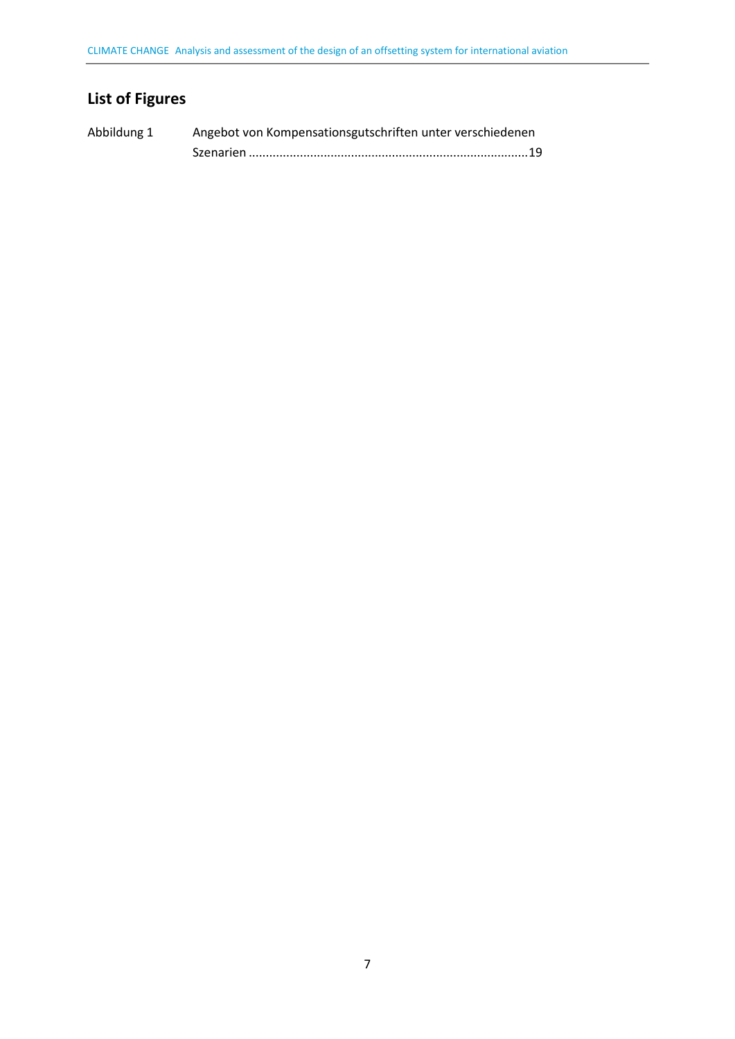## <span id="page-4-0"></span>**List of Figures**

| Abbildung 1 | Angebot von Kompensationsgutschriften unter verschiedenen |  |
|-------------|-----------------------------------------------------------|--|
|             |                                                           |  |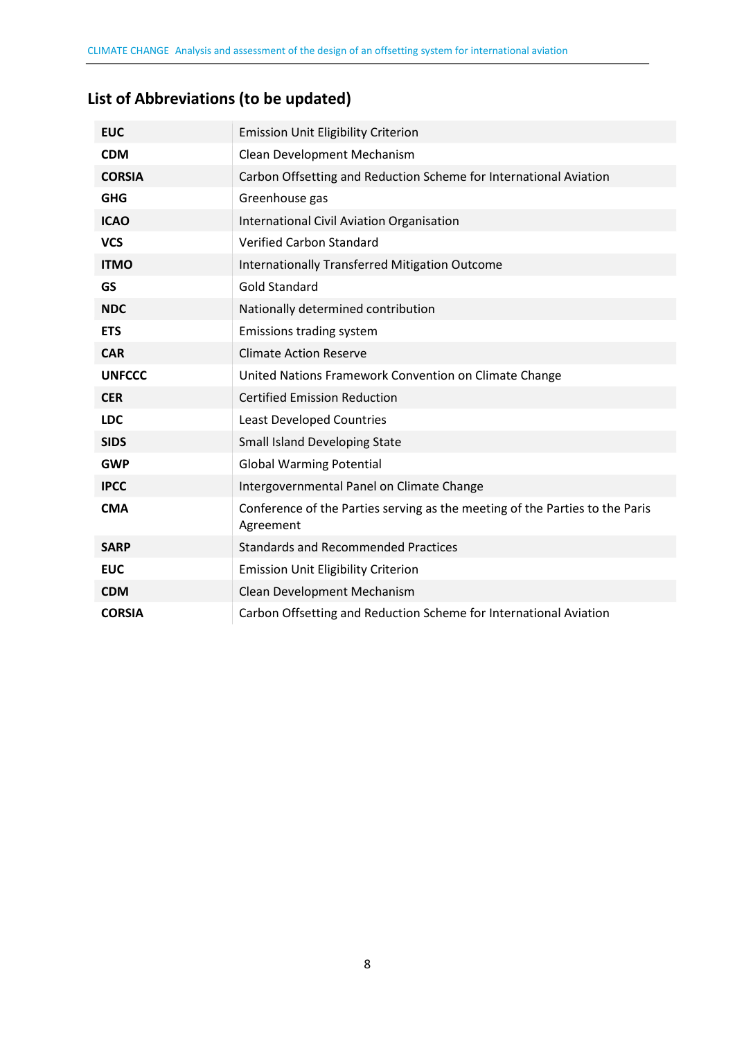## <span id="page-5-0"></span>**List of Abbreviations (to be updated)**

| <b>EUC</b>    | <b>Emission Unit Eligibility Criterion</b>                                                |
|---------------|-------------------------------------------------------------------------------------------|
| <b>CDM</b>    | Clean Development Mechanism                                                               |
| <b>CORSIA</b> | Carbon Offsetting and Reduction Scheme for International Aviation                         |
| <b>GHG</b>    | Greenhouse gas                                                                            |
| <b>ICAO</b>   | International Civil Aviation Organisation                                                 |
| <b>VCS</b>    | <b>Verified Carbon Standard</b>                                                           |
| <b>ITMO</b>   | <b>Internationally Transferred Mitigation Outcome</b>                                     |
| <b>GS</b>     | <b>Gold Standard</b>                                                                      |
| <b>NDC</b>    | Nationally determined contribution                                                        |
| <b>ETS</b>    | Emissions trading system                                                                  |
| <b>CAR</b>    | <b>Climate Action Reserve</b>                                                             |
| <b>UNFCCC</b> | United Nations Framework Convention on Climate Change                                     |
| <b>CER</b>    | <b>Certified Emission Reduction</b>                                                       |
| <b>LDC</b>    | Least Developed Countries                                                                 |
| <b>SIDS</b>   | <b>Small Island Developing State</b>                                                      |
| <b>GWP</b>    | <b>Global Warming Potential</b>                                                           |
| <b>IPCC</b>   | Intergovernmental Panel on Climate Change                                                 |
| <b>CMA</b>    | Conference of the Parties serving as the meeting of the Parties to the Paris<br>Agreement |
| <b>SARP</b>   | <b>Standards and Recommended Practices</b>                                                |
| <b>EUC</b>    | <b>Emission Unit Eligibility Criterion</b>                                                |
| <b>CDM</b>    | Clean Development Mechanism                                                               |
| <b>CORSIA</b> | Carbon Offsetting and Reduction Scheme for International Aviation                         |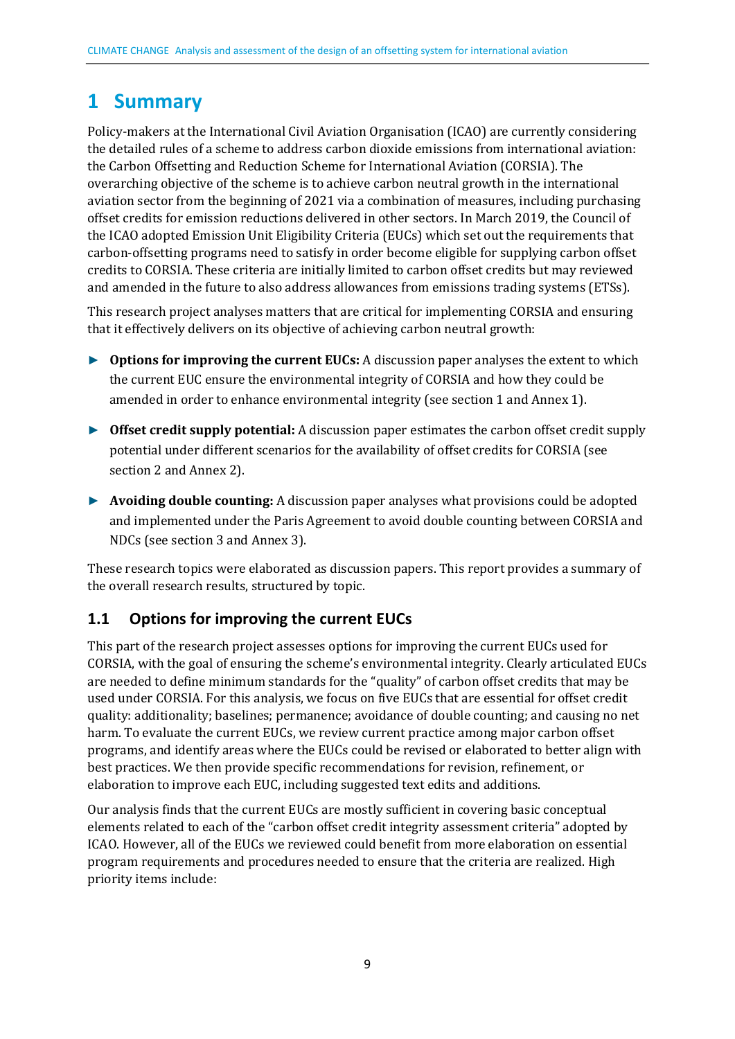## <span id="page-6-0"></span>**1 Summary**

Policy-makers at the International Civil Aviation Organisation (ICAO) are currently considering the detailed rules of a scheme to address carbon dioxide emissions from international aviation: the Carbon Offsetting and Reduction Scheme for International Aviation (CORSIA). The overarching objective of the scheme is to achieve carbon neutral growth in the international aviation sector from the beginning of 2021 via a combination of measures, including purchasing offset credits for emission reductions delivered in other sectors. In March 2019, the Council of the ICAO adopted Emission Unit Eligibility Criteria (EUCs) which set out the requirements that carbon-offsetting programs need to satisfy in order become eligible for supplying carbon offset credits to CORSIA. These criteria are initially limited to carbon offset credits but may reviewed and amended in the future to also address allowances from emissions trading systems (ETSs).

This research project analyses matters that are critical for implementing CORSIA and ensuring that it effectively delivers on its objective of achieving carbon neutral growth:

- ► **Options for improving the current EUCs:** A discussion paper analyses the extent to which the current EUC ensure the environmental integrity of CORSIA and how they could be amended in order to enhance environmental integrity (see section 1 and Annex 1).
- ► **Offset credit supply potential:** A discussion paper estimates the carbon offset credit supply potential under different scenarios for the availability of offset credits for CORSIA (see section 2 and Annex 2).
- ► **Avoiding double counting:** A discussion paper analyses what provisions could be adopted and implemented under the Paris Agreement to avoid double counting between CORSIA and NDCs (see section 3 and Annex 3).

These research topics were elaborated as discussion papers. This report provides a summary of the overall research results, structured by topic.

## <span id="page-6-1"></span>**1.1 Options for improving the current EUCs**

This part of the research project assesses options for improving the current EUCs used for CORSIA, with the goal of ensuring the scheme's environmental integrity. Clearly articulated EUCs are needed to define minimum standards for the "quality" of carbon offset credits that may be used under CORSIA. For this analysis, we focus on five EUCs that are essential for offset credit quality: additionality; baselines; permanence; avoidance of double counting; and causing no net harm. To evaluate the current EUCs, we review current practice among major carbon offset programs, and identify areas where the EUCs could be revised or elaborated to better align with best practices. We then provide specific recommendations for revision, refinement, or elaboration to improve each EUC, including suggested text edits and additions.

Our analysis finds that the current EUCs are mostly sufficient in covering basic conceptual elements related to each of the "carbon offset credit integrity assessment criteria" adopted by ICAO. However, all of the EUCs we reviewed could benefit from more elaboration on essential program requirements and procedures needed to ensure that the criteria are realized. High priority items include: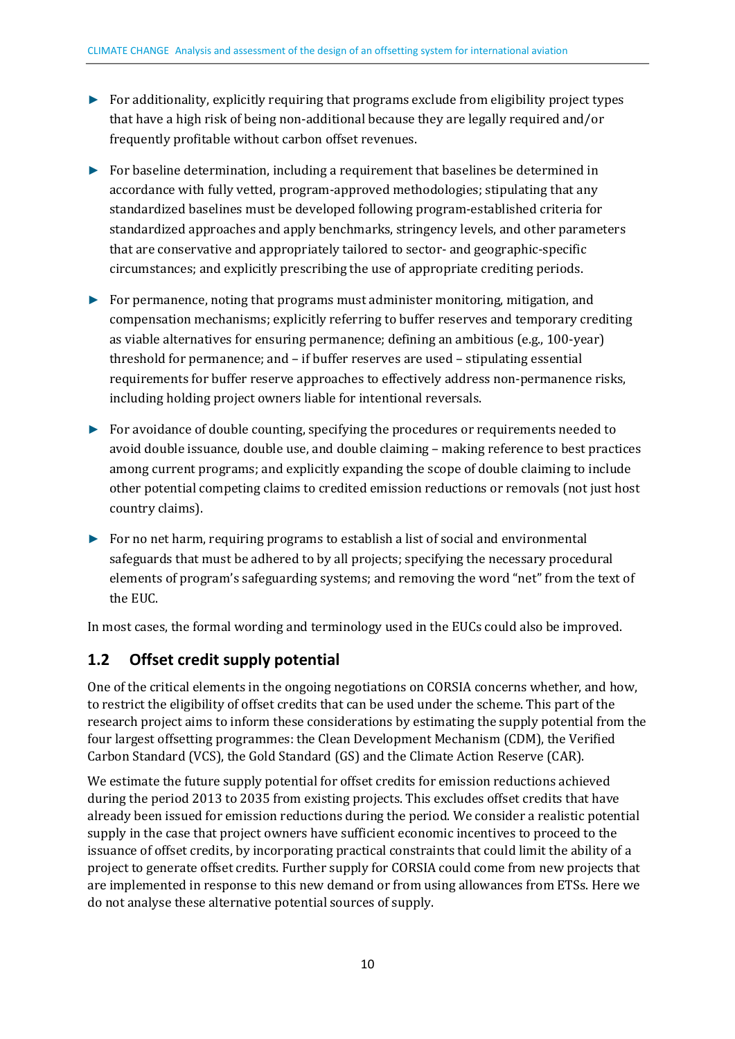- ► For additionality, explicitly requiring that programs exclude from eligibility project types that have a high risk of being non-additional because they are legally required and/or frequently profitable without carbon offset revenues.
- ► For baseline determination, including a requirement that baselines be determined in accordance with fully vetted, program-approved methodologies; stipulating that any standardized baselines must be developed following program-established criteria for standardized approaches and apply benchmarks, stringency levels, and other parameters that are conservative and appropriately tailored to sector- and geographic-specific circumstances; and explicitly prescribing the use of appropriate crediting periods.
- ► For permanence, noting that programs must administer monitoring, mitigation, and compensation mechanisms; explicitly referring to buffer reserves and temporary crediting as viable alternatives for ensuring permanence; defining an ambitious (e.g., 100-year) threshold for permanence; and – if buffer reserves are used – stipulating essential requirements for buffer reserve approaches to effectively address non-permanence risks, including holding project owners liable for intentional reversals.
- ► For avoidance of double counting, specifying the procedures or requirements needed to avoid double issuance, double use, and double claiming – making reference to best practices among current programs; and explicitly expanding the scope of double claiming to include other potential competing claims to credited emission reductions or removals (not just host country claims).
- ► For no net harm, requiring programs to establish a list of social and environmental safeguards that must be adhered to by all projects; specifying the necessary procedural elements of program's safeguarding systems; and removing the word "net" from the text of the EUC.

In most cases, the formal wording and terminology used in the EUCs could also be improved.

## <span id="page-7-0"></span>**1.2 Offset credit supply potential**

One of the critical elements in the ongoing negotiations on CORSIA concerns whether, and how, to restrict the eligibility of offset credits that can be used under the scheme. This part of the research project aims to inform these considerations by estimating the supply potential from the four largest offsetting programmes: the Clean Development Mechanism (CDM), the Verified Carbon Standard (VCS), the Gold Standard (GS) and the Climate Action Reserve (CAR).

We estimate the future supply potential for offset credits for emission reductions achieved during the period 2013 to 2035 from existing projects. This excludes offset credits that have already been issued for emission reductions during the period. We consider a realistic potential supply in the case that project owners have sufficient economic incentives to proceed to the issuance of offset credits, by incorporating practical constraints that could limit the ability of a project to generate offset credits. Further supply for CORSIA could come from new projects that are implemented in response to this new demand or from using allowances from ETSs. Here we do not analyse these alternative potential sources of supply.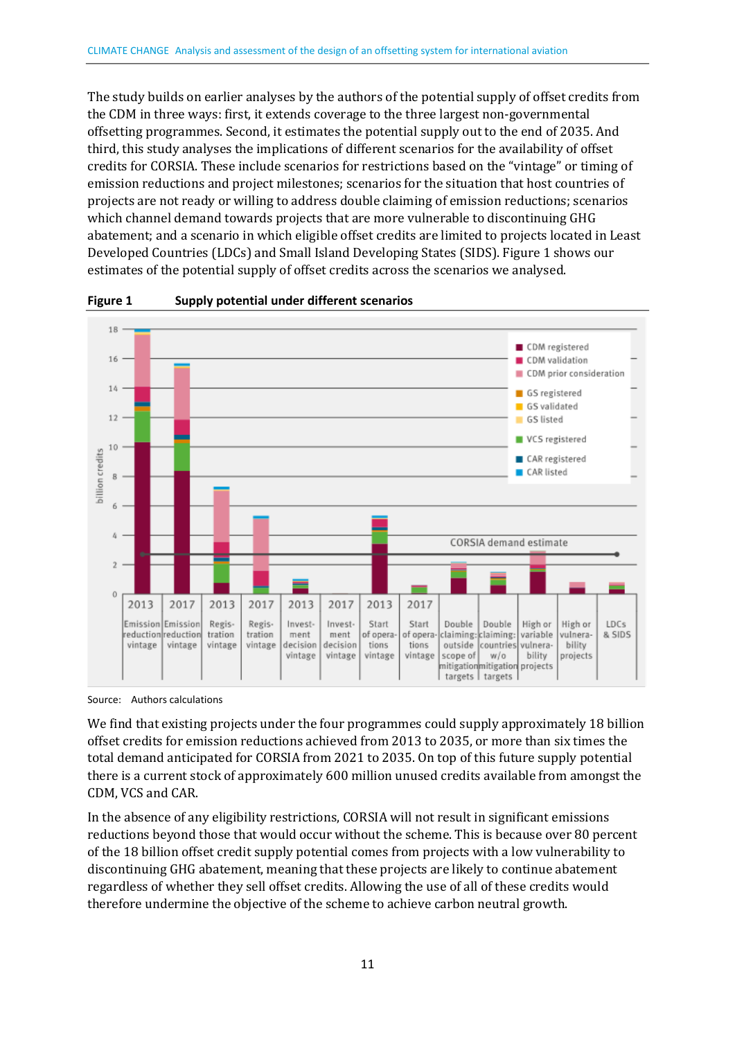The study builds on earlier analyses by the authors of the potential supply of offset credits from the CDM in three ways: first, it extends coverage to the three largest non-governmental offsetting programmes. Second, it estimates the potential supply out to the end of 2035. And third, this study analyses the implications of different scenarios for the availability of offset credits for CORSIA. These include scenarios for restrictions based on the "vintage" or timing of emission reductions and project milestones; scenarios for the situation that host countries of projects are not ready or willing to address double claiming of emission reductions; scenarios which channel demand towards projects that are more vulnerable to discontinuing GHG abatement; and a scenario in which eligible offset credits are limited to projects located in Least Developed Countries (LDCs) and Small Island Developing States (SIDS). Figure 1 shows our estimates of the potential supply of offset credits across the scenarios we analysed.



**Figure 1 Supply potential under different scenarios** 

Source: Authors calculations

We find that existing projects under the four programmes could supply approximately 18 billion offset credits for emission reductions achieved from 2013 to 2035, or more than six times the total demand anticipated for CORSIA from 2021 to 2035. On top of this future supply potential there is a current stock of approximately 600 million unused credits available from amongst the CDM, VCS and CAR.

In the absence of any eligibility restrictions, CORSIA will not result in significant emissions reductions beyond those that would occur without the scheme. This is because over 80 percent of the 18 billion offset credit supply potential comes from projects with a low vulnerability to discontinuing GHG abatement, meaning that these projects are likely to continue abatement regardless of whether they sell offset credits. Allowing the use of all of these credits would therefore undermine the objective of the scheme to achieve carbon neutral growth.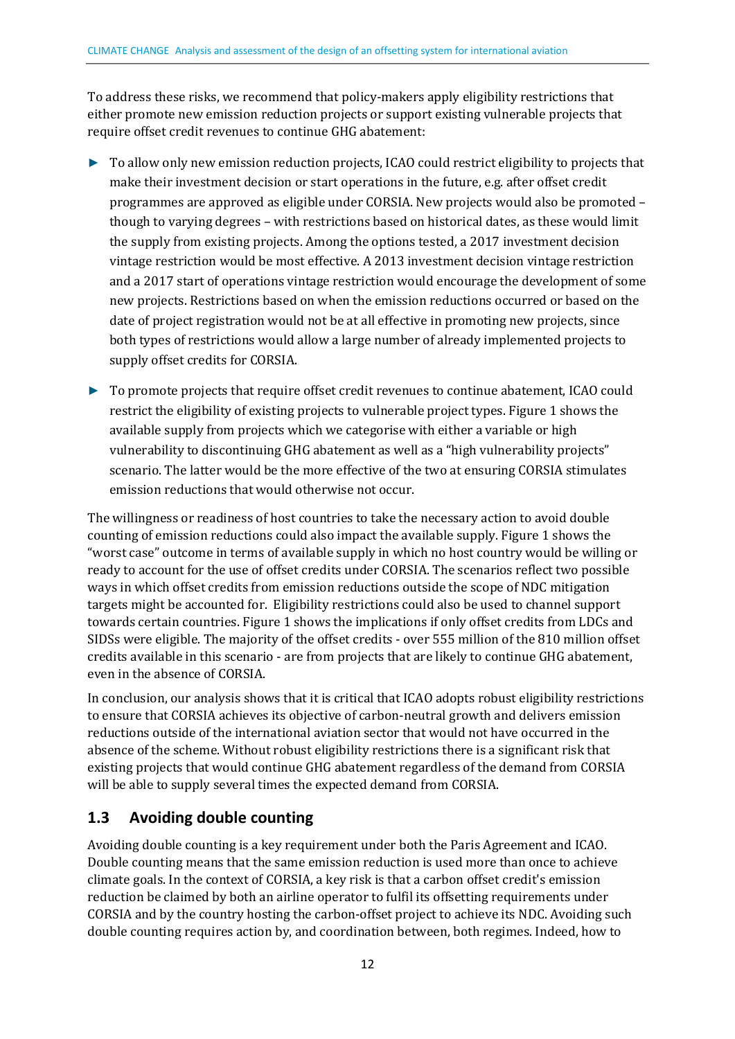To address these risks, we recommend that policy-makers apply eligibility restrictions that either promote new emission reduction projects or support existing vulnerable projects that require offset credit revenues to continue GHG abatement:

- ► To allow only new emission reduction projects, ICAO could restrict eligibility to projects that make their investment decision or start operations in the future, e.g. after offset credit programmes are approved as eligible under CORSIA. New projects would also be promoted – though to varying degrees – with restrictions based on historical dates, as these would limit the supply from existing projects. Among the options tested, a 2017 investment decision vintage restriction would be most effective. A 2013 investment decision vintage restriction and a 2017 start of operations vintage restriction would encourage the development of some new projects. Restrictions based on when the emission reductions occurred or based on the date of project registration would not be at all effective in promoting new projects, since both types of restrictions would allow a large number of already implemented projects to supply offset credits for CORSIA.
- ► To promote projects that require offset credit revenues to continue abatement, ICAO could restrict the eligibility of existing projects to vulnerable project types. Figure 1 shows the available supply from projects which we categorise with either a variable or high vulnerability to discontinuing GHG abatement as well as a "high vulnerability projects" scenario. The latter would be the more effective of the two at ensuring CORSIA stimulates emission reductions that would otherwise not occur.

The willingness or readiness of host countries to take the necessary action to avoid double counting of emission reductions could also impact the available supply. Figure 1 shows the "worst case" outcome in terms of available supply in which no host country would be willing or ready to account for the use of offset credits under CORSIA. The scenarios reflect two possible ways in which offset credits from emission reductions outside the scope of NDC mitigation targets might be accounted for. Eligibility restrictions could also be used to channel support towards certain countries. Figure 1 shows the implications if only offset credits from LDCs and SIDSs were eligible. The majority of the offset credits - over 555 million of the 810 million offset credits available in this scenario - are from projects that are likely to continue GHG abatement, even in the absence of CORSIA.

In conclusion, our analysis shows that it is critical that ICAO adopts robust eligibility restrictions to ensure that CORSIA achieves its objective of carbon-neutral growth and delivers emission reductions outside of the international aviation sector that would not have occurred in the absence of the scheme. Without robust eligibility restrictions there is a significant risk that existing projects that would continue GHG abatement regardless of the demand from CORSIA will be able to supply several times the expected demand from CORSIA.

## <span id="page-9-0"></span>**1.3 Avoiding double counting**

Avoiding double counting is a key requirement under both the Paris Agreement and ICAO. Double counting means that the same emission reduction is used more than once to achieve climate goals. In the context of CORSIA, a key risk is that a carbon offset credit's emission reduction be claimed by both an airline operator to fulfil its offsetting requirements under CORSIA and by the country hosting the carbon-offset project to achieve its NDC. Avoiding such double counting requires action by, and coordination between, both regimes. Indeed, how to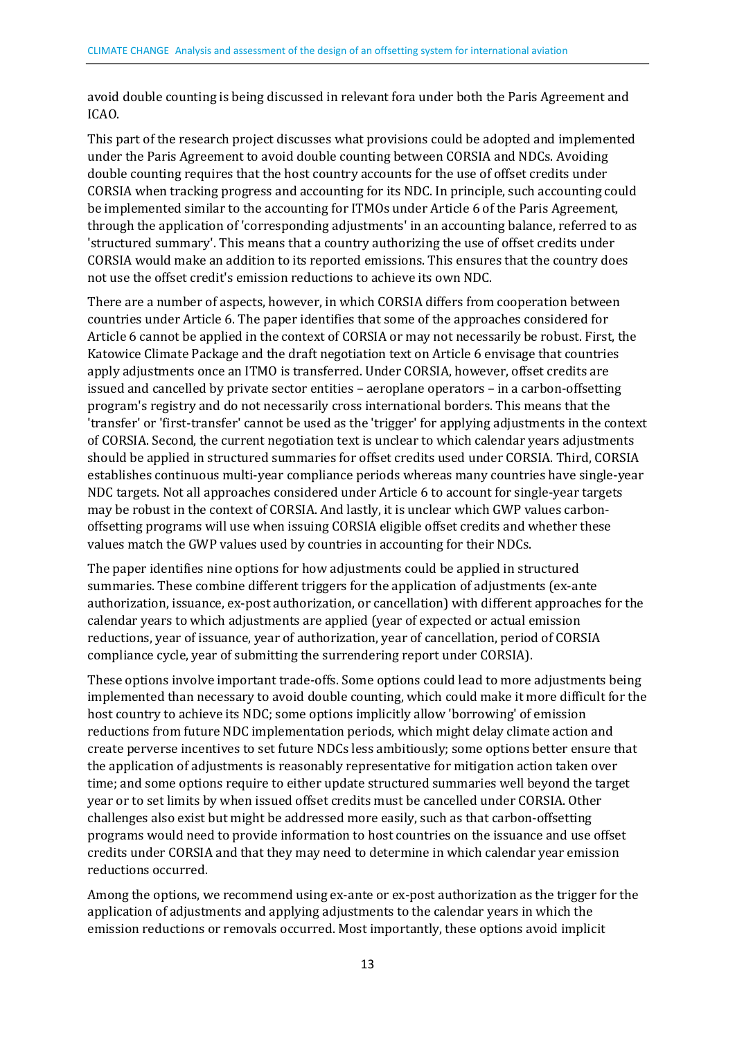avoid double counting is being discussed in relevant fora under both the Paris Agreement and ICAO.

This part of the research project discusses what provisions could be adopted and implemented under the Paris Agreement to avoid double counting between CORSIA and NDCs. Avoiding double counting requires that the host country accounts for the use of offset credits under CORSIA when tracking progress and accounting for its NDC. In principle, such accounting could be implemented similar to the accounting for ITMOs under Article 6 of the Paris Agreement, through the application of 'corresponding adjustments' in an accounting balance, referred to as 'structured summary'. This means that a country authorizing the use of offset credits under CORSIA would make an addition to its reported emissions. This ensures that the country does not use the offset credit's emission reductions to achieve its own NDC.

There are a number of aspects, however, in which CORSIA differs from cooperation between countries under Article 6. The paper identifies that some of the approaches considered for Article 6 cannot be applied in the context of CORSIA or may not necessarily be robust. First, the Katowice Climate Package and the draft negotiation text on Article 6 envisage that countries apply adjustments once an ITMO is transferred. Under CORSIA, however, offset credits are issued and cancelled by private sector entities – aeroplane operators – in a carbon-offsetting program's registry and do not necessarily cross international borders. This means that the 'transfer' or 'first-transfer' cannot be used as the 'trigger' for applying adjustments in the context of CORSIA. Second, the current negotiation text is unclear to which calendar years adjustments should be applied in structured summaries for offset credits used under CORSIA. Third, CORSIA establishes continuous multi-year compliance periods whereas many countries have single-year NDC targets. Not all approaches considered under Article 6 to account for single-year targets may be robust in the context of CORSIA. And lastly, it is unclear which GWP values carbonoffsetting programs will use when issuing CORSIA eligible offset credits and whether these values match the GWP values used by countries in accounting for their NDCs.

The paper identifies nine options for how adjustments could be applied in structured summaries. These combine different triggers for the application of adjustments (ex-ante authorization, issuance, ex-post authorization, or cancellation) with different approaches for the calendar years to which adjustments are applied (year of expected or actual emission reductions, year of issuance, year of authorization, year of cancellation, period of CORSIA compliance cycle, year of submitting the surrendering report under CORSIA).

These options involve important trade-offs. Some options could lead to more adjustments being implemented than necessary to avoid double counting, which could make it more difficult for the host country to achieve its NDC; some options implicitly allow 'borrowing' of emission reductions from future NDC implementation periods, which might delay climate action and create perverse incentives to set future NDCs less ambitiously; some options better ensure that the application of adjustments is reasonably representative for mitigation action taken over time; and some options require to either update structured summaries well beyond the target year or to set limits by when issued offset credits must be cancelled under CORSIA. Other challenges also exist but might be addressed more easily, such as that carbon-offsetting programs would need to provide information to host countries on the issuance and use offset credits under CORSIA and that they may need to determine in which calendar year emission reductions occurred.

Among the options, we recommend using ex-ante or ex-post authorization as the trigger for the application of adjustments and applying adjustments to the calendar years in which the emission reductions or removals occurred. Most importantly, these options avoid implicit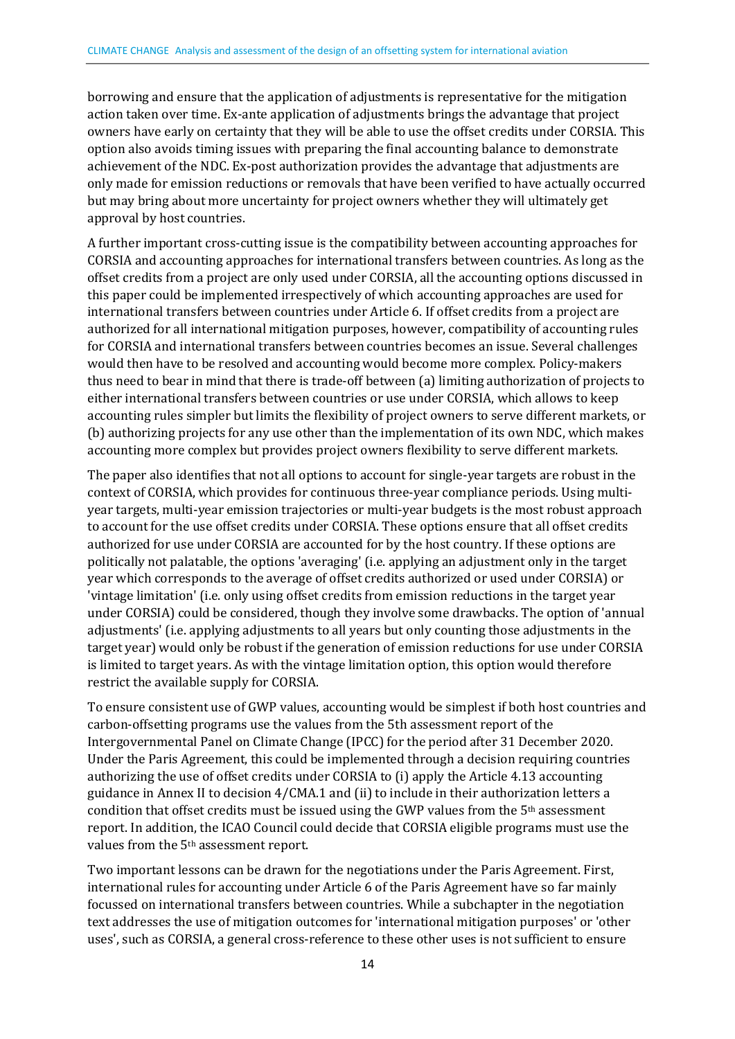borrowing and ensure that the application of adjustments is representative for the mitigation action taken over time. Ex-ante application of adjustments brings the advantage that project owners have early on certainty that they will be able to use the offset credits under CORSIA. This option also avoids timing issues with preparing the final accounting balance to demonstrate achievement of the NDC. Ex-post authorization provides the advantage that adjustments are only made for emission reductions or removals that have been verified to have actually occurred but may bring about more uncertainty for project owners whether they will ultimately get approval by host countries.

A further important cross-cutting issue is the compatibility between accounting approaches for CORSIA and accounting approaches for international transfers between countries. As long as the offset credits from a project are only used under CORSIA, all the accounting options discussed in this paper could be implemented irrespectively of which accounting approaches are used for international transfers between countries under Article 6. If offset credits from a project are authorized for all international mitigation purposes, however, compatibility of accounting rules for CORSIA and international transfers between countries becomes an issue. Several challenges would then have to be resolved and accounting would become more complex. Policy-makers thus need to bear in mind that there is trade-off between (a) limiting authorization of projects to either international transfers between countries or use under CORSIA, which allows to keep accounting rules simpler but limits the flexibility of project owners to serve different markets, or (b) authorizing projects for any use other than the implementation of its own NDC, which makes accounting more complex but provides project owners flexibility to serve different markets.

The paper also identifies that not all options to account for single-year targets are robust in the context of CORSIA, which provides for continuous three-year compliance periods. Using multiyear targets, multi-year emission trajectories or multi-year budgets is the most robust approach to account for the use offset credits under CORSIA. These options ensure that all offset credits authorized for use under CORSIA are accounted for by the host country. If these options are politically not palatable, the options 'averaging' (i.e. applying an adjustment only in the target year which corresponds to the average of offset credits authorized or used under CORSIA) or 'vintage limitation' (i.e. only using offset credits from emission reductions in the target year under CORSIA) could be considered, though they involve some drawbacks. The option of 'annual adjustments' (i.e. applying adjustments to all years but only counting those adjustments in the target year) would only be robust if the generation of emission reductions for use under CORSIA is limited to target years. As with the vintage limitation option, this option would therefore restrict the available supply for CORSIA.

To ensure consistent use of GWP values, accounting would be simplest if both host countries and carbon-offsetting programs use the values from the 5th assessment report of the Intergovernmental Panel on Climate Change (IPCC) for the period after 31 December 2020. Under the Paris Agreement, this could be implemented through a decision requiring countries authorizing the use of offset credits under CORSIA to (i) apply the Article 4.13 accounting guidance in Annex II to decision 4/CMA.1 and (ii) to include in their authorization letters a condition that offset credits must be issued using the GWP values from the 5th assessment report. In addition, the ICAO Council could decide that CORSIA eligible programs must use the values from the 5th assessment report.

Two important lessons can be drawn for the negotiations under the Paris Agreement. First, international rules for accounting under Article 6 of the Paris Agreement have so far mainly focussed on international transfers between countries. While a subchapter in the negotiation text addresses the use of mitigation outcomes for 'international mitigation purposes' or 'other uses', such as CORSIA, a general cross-reference to these other uses is not sufficient to ensure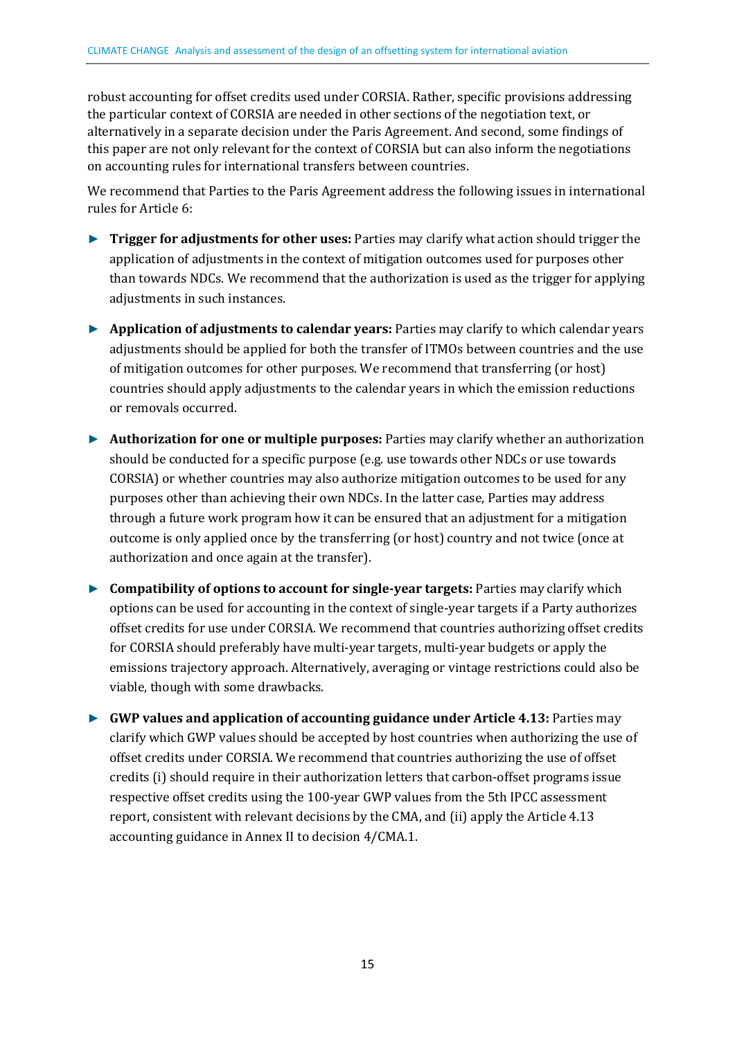robust accounting for offset credits used under CORSIA. Rather, specific provisions addressing the particular context of CORSIA are needed in other sections of the negotiation text, or alternatively in a separate decision under the Paris Agreement. And second, some findings of this paper are not only relevant for the context of CORSIA but can also inform the negotiations on accounting rules for international transfers between countries.

We recommend that Parties to the Paris Agreement address the following issues in international rules for Article 6:

- ► **Trigger for adjustments for other uses:** Parties may clarify what action should trigger the application of adjustments in the context of mitigation outcomes used for purposes other than towards NDCs. We recommend that the authorization is used as the trigger for applying adjustments in such instances.
- ► **Application of adjustments to calendar years:** Parties may clarify to which calendar years adjustments should be applied for both the transfer of ITMOs between countries and the use of mitigation outcomes for other purposes. We recommend that transferring (or host) countries should apply adjustments to the calendar years in which the emission reductions or removals occurred.
- ► **Authorization for one or multiple purposes:** Parties may clarify whether an authorization should be conducted for a specific purpose (e.g. use towards other NDCs or use towards CORSIA) or whether countries may also authorize mitigation outcomes to be used for any purposes other than achieving their own NDCs. In the latter case, Parties may address through a future work program how it can be ensured that an adjustment for a mitigation outcome is only applied once by the transferring (or host) country and not twice (once at authorization and once again at the transfer).
- ► **Compatibility of options to account for single-year targets:** Parties may clarify which options can be used for accounting in the context of single-year targets if a Party authorizes offset credits for use under CORSIA. We recommend that countries authorizing offset credits for CORSIA should preferably have multi-year targets, multi-year budgets or apply the emissions trajectory approach. Alternatively, averaging or vintage restrictions could also be viable, though with some drawbacks.
- ► **GWP values and application of accounting guidance under Article 4.13:** Parties may clarify which GWP values should be accepted by host countries when authorizing the use of offset credits under CORSIA. We recommend that countries authorizing the use of offset credits (i) should require in their authorization letters that carbon-offset programs issue respective offset credits using the 100-year GWP values from the 5th IPCC assessment report, consistent with relevant decisions by the CMA, and (ii) apply the Article 4.13 accounting guidance in Annex II to decision 4/CMA.1.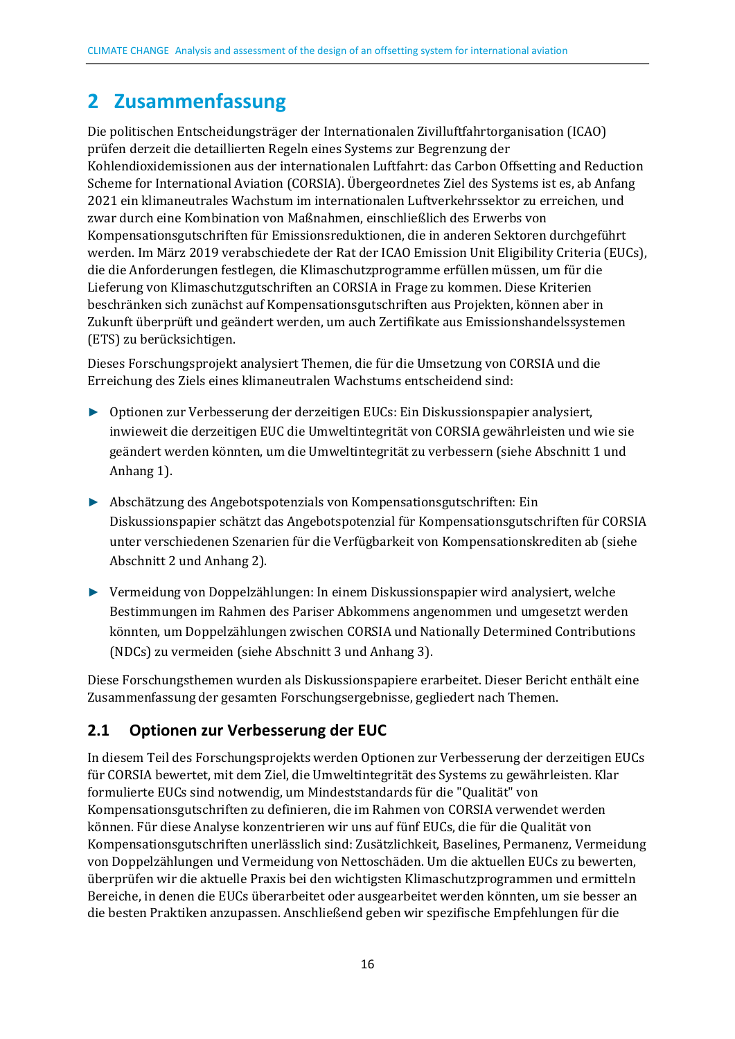## <span id="page-13-0"></span>**2 Zusammenfassung**

Die politischen Entscheidungsträger der Internationalen Zivilluftfahrtorganisation (ICAO) prüfen derzeit die detaillierten Regeln eines Systems zur Begrenzung der Kohlendioxidemissionen aus der internationalen Luftfahrt: das Carbon Offsetting and Reduction Scheme for International Aviation (CORSIA). Übergeordnetes Ziel des Systems ist es, ab Anfang 2021 ein klimaneutrales Wachstum im internationalen Luftverkehrssektor zu erreichen, und zwar durch eine Kombination von Maßnahmen, einschließlich des Erwerbs von Kompensationsgutschriften für Emissionsreduktionen, die in anderen Sektoren durchgeführt werden. Im März 2019 verabschiedete der Rat der ICAO Emission Unit Eligibility Criteria (EUCs), die die Anforderungen festlegen, die Klimaschutzprogramme erfüllen müssen, um für die Lieferung von Klimaschutzgutschriften an CORSIA in Frage zu kommen. Diese Kriterien beschränken sich zunächst auf Kompensationsgutschriften aus Projekten, können aber in Zukunft überprüft und geändert werden, um auch Zertifikate aus Emissionshandelssystemen (ETS) zu berücksichtigen.

Dieses Forschungsprojekt analysiert Themen, die für die Umsetzung von CORSIA und die Erreichung des Ziels eines klimaneutralen Wachstums entscheidend sind:

- ► Optionen zur Verbesserung der derzeitigen EUCs: Ein Diskussionspapier analysiert, inwieweit die derzeitigen EUC die Umweltintegrität von CORSIA gewährleisten und wie sie geändert werden könnten, um die Umweltintegrität zu verbessern (siehe Abschnitt 1 und Anhang 1).
- ► Abschätzung des Angebotspotenzials von Kompensationsgutschriften: Ein Diskussionspapier schätzt das Angebotspotenzial für Kompensationsgutschriften für CORSIA unter verschiedenen Szenarien für die Verfügbarkeit von Kompensationskrediten ab (siehe Abschnitt 2 und Anhang 2).
- ► Vermeidung von Doppelzählungen: In einem Diskussionspapier wird analysiert, welche Bestimmungen im Rahmen des Pariser Abkommens angenommen und umgesetzt werden könnten, um Doppelzählungen zwischen CORSIA und Nationally Determined Contributions (NDCs) zu vermeiden (siehe Abschnitt 3 und Anhang 3).

Diese Forschungsthemen wurden als Diskussionspapiere erarbeitet. Dieser Bericht enthält eine Zusammenfassung der gesamten Forschungsergebnisse, gegliedert nach Themen.

## <span id="page-13-1"></span>**2.1 Optionen zur Verbesserung der EUC**

In diesem Teil des Forschungsprojekts werden Optionen zur Verbesserung der derzeitigen EUCs für CORSIA bewertet, mit dem Ziel, die Umweltintegrität des Systems zu gewährleisten. Klar formulierte EUCs sind notwendig, um Mindeststandards für die "Qualität" von Kompensationsgutschriften zu definieren, die im Rahmen von CORSIA verwendet werden können. Für diese Analyse konzentrieren wir uns auf fünf EUCs, die für die Qualität von Kompensationsgutschriften unerlässlich sind: Zusätzlichkeit, Baselines, Permanenz, Vermeidung von Doppelzählungen und Vermeidung von Nettoschäden. Um die aktuellen EUCs zu bewerten, überprüfen wir die aktuelle Praxis bei den wichtigsten Klimaschutzprogrammen und ermitteln Bereiche, in denen die EUCs überarbeitet oder ausgearbeitet werden könnten, um sie besser an die besten Praktiken anzupassen. Anschließend geben wir spezifische Empfehlungen für die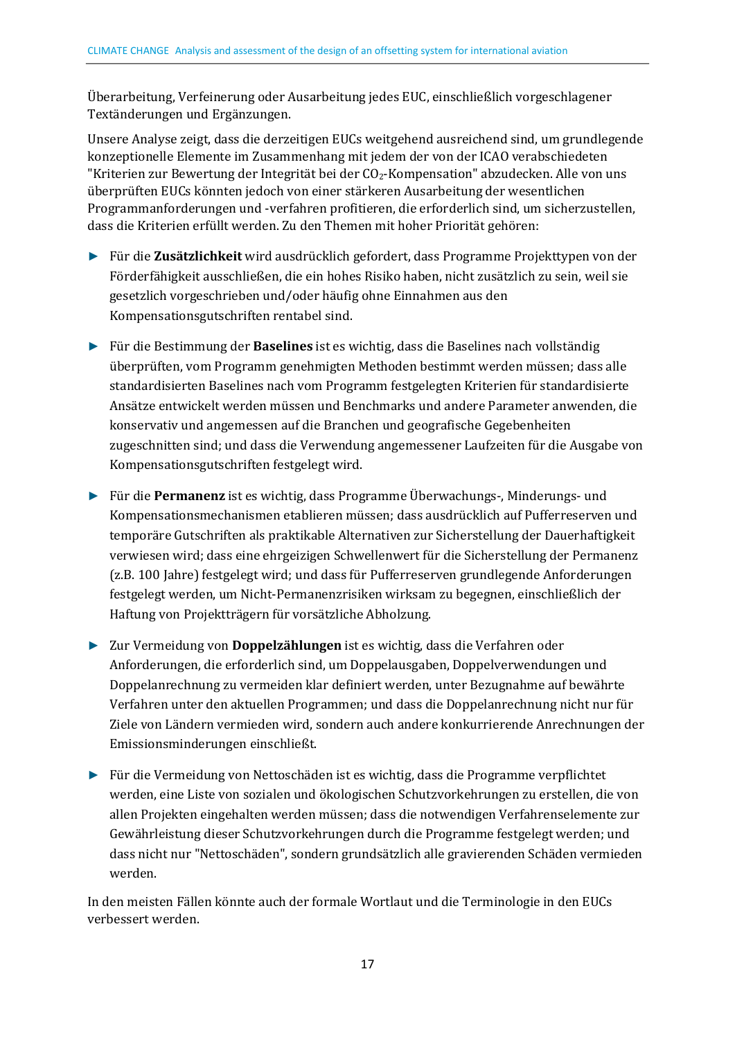Überarbeitung, Verfeinerung oder Ausarbeitung jedes EUC, einschließlich vorgeschlagener Textänderungen und Ergänzungen.

Unsere Analyse zeigt, dass die derzeitigen EUCs weitgehend ausreichend sind, um grundlegende konzeptionelle Elemente im Zusammenhang mit jedem der von der ICAO verabschiedeten "Kriterien zur Bewertung der Integrität bei der CO2-Kompensation" abzudecken. Alle von uns überprüften EUCs könnten jedoch von einer stärkeren Ausarbeitung der wesentlichen Programmanforderungen und -verfahren profitieren, die erforderlich sind, um sicherzustellen, dass die Kriterien erfüllt werden. Zu den Themen mit hoher Priorität gehören:

- ► Für die **Zusätzlichkeit** wird ausdrücklich gefordert, dass Programme Projekttypen von der Förderfähigkeit ausschließen, die ein hohes Risiko haben, nicht zusätzlich zu sein, weil sie gesetzlich vorgeschrieben und/oder häufig ohne Einnahmen aus den Kompensationsgutschriften rentabel sind.
- ► Für die Bestimmung der **Baselines** ist es wichtig, dass die Baselines nach vollständig überprüften, vom Programm genehmigten Methoden bestimmt werden müssen; dass alle standardisierten Baselines nach vom Programm festgelegten Kriterien für standardisierte Ansätze entwickelt werden müssen und Benchmarks und andere Parameter anwenden, die konservativ und angemessen auf die Branchen und geografische Gegebenheiten zugeschnitten sind; und dass die Verwendung angemessener Laufzeiten für die Ausgabe von Kompensationsgutschriften festgelegt wird.
- ► Für die **Permanenz** ist es wichtig, dass Programme Überwachungs-, Minderungs- und Kompensationsmechanismen etablieren müssen; dass ausdrücklich auf Pufferreserven und temporäre Gutschriften als praktikable Alternativen zur Sicherstellung der Dauerhaftigkeit verwiesen wird; dass eine ehrgeizigen Schwellenwert für die Sicherstellung der Permanenz (z.B. 100 Jahre) festgelegt wird; und dass für Pufferreserven grundlegende Anforderungen festgelegt werden, um Nicht-Permanenzrisiken wirksam zu begegnen, einschließlich der Haftung von Projektträgern für vorsätzliche Abholzung.
- ► Zur Vermeidung von **Doppelzählungen** ist es wichtig, dass die Verfahren oder Anforderungen, die erforderlich sind, um Doppelausgaben, Doppelverwendungen und Doppelanrechnung zu vermeiden klar definiert werden, unter Bezugnahme auf bewährte Verfahren unter den aktuellen Programmen; und dass die Doppelanrechnung nicht nur für Ziele von Ländern vermieden wird, sondern auch andere konkurrierende Anrechnungen der Emissionsminderungen einschließt.
- ► Für die Vermeidung von Nettoschäden ist es wichtig, dass die Programme verpflichtet werden, eine Liste von sozialen und ökologischen Schutzvorkehrungen zu erstellen, die von allen Projekten eingehalten werden müssen; dass die notwendigen Verfahrenselemente zur Gewährleistung dieser Schutzvorkehrungen durch die Programme festgelegt werden; und dass nicht nur "Nettoschäden", sondern grundsätzlich alle gravierenden Schäden vermieden werden.

In den meisten Fällen könnte auch der formale Wortlaut und die Terminologie in den EUCs verbessert werden.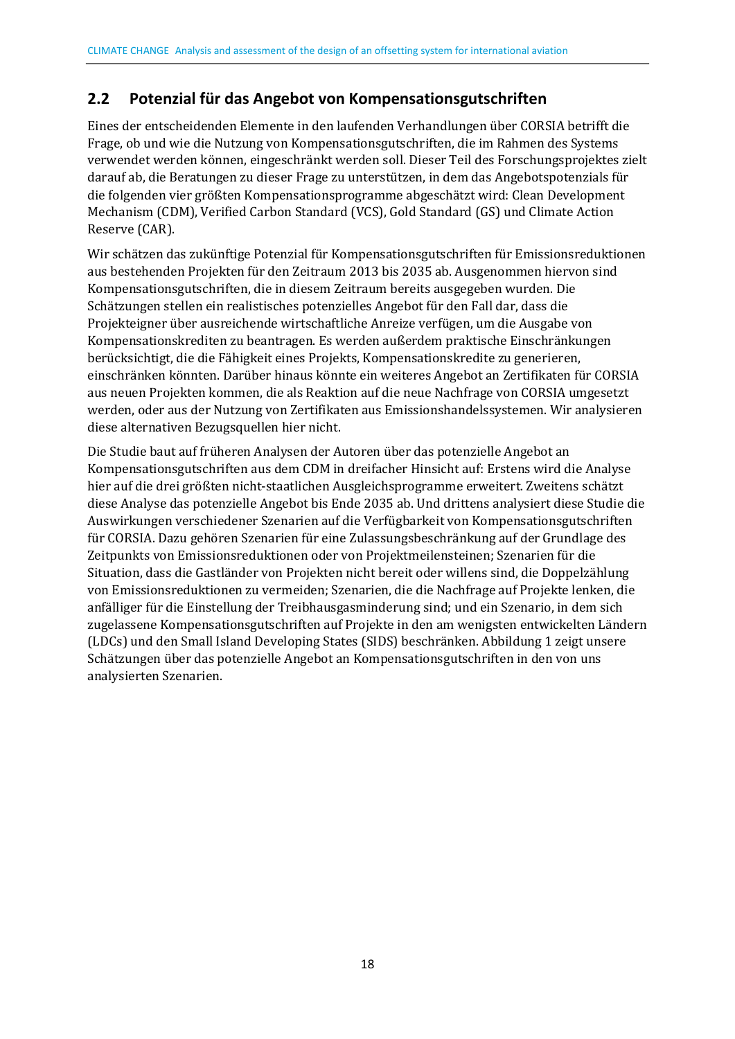## <span id="page-15-0"></span>**2.2 Potenzial für das Angebot von Kompensationsgutschriften**

Eines der entscheidenden Elemente in den laufenden Verhandlungen über CORSIA betrifft die Frage, ob und wie die Nutzung von Kompensationsgutschriften, die im Rahmen des Systems verwendet werden können, eingeschränkt werden soll. Dieser Teil des Forschungsprojektes zielt darauf ab, die Beratungen zu dieser Frage zu unterstützen, in dem das Angebotspotenzials für die folgenden vier größten Kompensationsprogramme abgeschätzt wird: Clean Development Mechanism (CDM), Verified Carbon Standard (VCS), Gold Standard (GS) und Climate Action Reserve (CAR).

Wir schätzen das zukünftige Potenzial für Kompensationsgutschriften für Emissionsreduktionen aus bestehenden Projekten für den Zeitraum 2013 bis 2035 ab. Ausgenommen hiervon sind Kompensationsgutschriften, die in diesem Zeitraum bereits ausgegeben wurden. Die Schätzungen stellen ein realistisches potenzielles Angebot für den Fall dar, dass die Projekteigner über ausreichende wirtschaftliche Anreize verfügen, um die Ausgabe von Kompensationskrediten zu beantragen. Es werden außerdem praktische Einschränkungen berücksichtigt, die die Fähigkeit eines Projekts, Kompensationskredite zu generieren, einschränken könnten. Darüber hinaus könnte ein weiteres Angebot an Zertifikaten für CORSIA aus neuen Projekten kommen, die als Reaktion auf die neue Nachfrage von CORSIA umgesetzt werden, oder aus der Nutzung von Zertifikaten aus Emissionshandelssystemen. Wir analysieren diese alternativen Bezugsquellen hier nicht.

Die Studie baut auf früheren Analysen der Autoren über das potenzielle Angebot an Kompensationsgutschriften aus dem CDM in dreifacher Hinsicht auf: Erstens wird die Analyse hier auf die drei größten nicht-staatlichen Ausgleichsprogramme erweitert. Zweitens schätzt diese Analyse das potenzielle Angebot bis Ende 2035 ab. Und drittens analysiert diese Studie die Auswirkungen verschiedener Szenarien auf die Verfügbarkeit von Kompensationsgutschriften für CORSIA. Dazu gehören Szenarien für eine Zulassungsbeschränkung auf der Grundlage des Zeitpunkts von Emissionsreduktionen oder von Projektmeilensteinen; Szenarien für die Situation, dass die Gastländer von Projekten nicht bereit oder willens sind, die Doppelzählung von Emissionsreduktionen zu vermeiden; Szenarien, die die Nachfrage auf Projekte lenken, die anfälliger für die Einstellung der Treibhausgasminderung sind; und ein Szenario, in dem sich zugelassene Kompensationsgutschriften auf Projekte in den am wenigsten entwickelten Ländern (LDCs) und den Small Island Developing States (SIDS) beschränken. Abbildung 1 zeigt unsere Schätzungen über das potenzielle Angebot an Kompensationsgutschriften in den von uns analysierten Szenarien.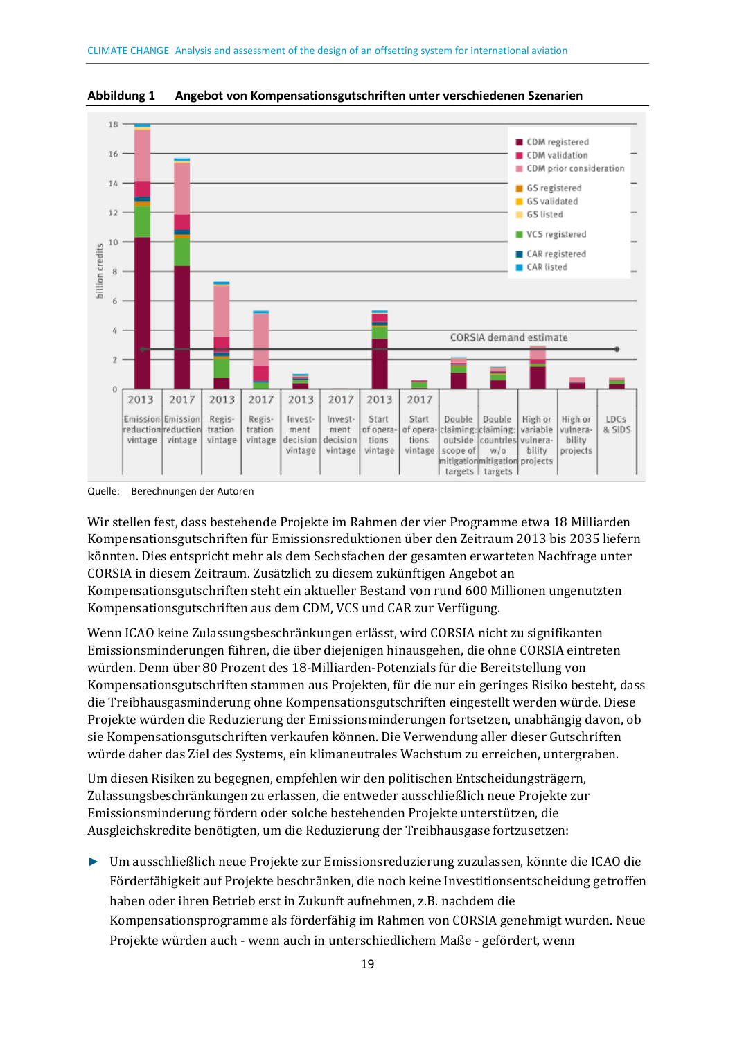

<span id="page-16-0"></span>**Abbildung 1 Angebot von Kompensationsgutschriften unter verschiedenen Szenarien** 

Quelle: Berechnungen der Autoren

Wir stellen fest, dass bestehende Projekte im Rahmen der vier Programme etwa 18 Milliarden Kompensationsgutschriften für Emissionsreduktionen über den Zeitraum 2013 bis 2035 liefern könnten. Dies entspricht mehr als dem Sechsfachen der gesamten erwarteten Nachfrage unter CORSIA in diesem Zeitraum. Zusätzlich zu diesem zukünftigen Angebot an Kompensationsgutschriften steht ein aktueller Bestand von rund 600 Millionen ungenutzten Kompensationsgutschriften aus dem CDM, VCS und CAR zur Verfügung.

Wenn ICAO keine Zulassungsbeschränkungen erlässt, wird CORSIA nicht zu signifikanten Emissionsminderungen führen, die über diejenigen hinausgehen, die ohne CORSIA eintreten würden. Denn über 80 Prozent des 18-Milliarden-Potenzials für die Bereitstellung von Kompensationsgutschriften stammen aus Projekten, für die nur ein geringes Risiko besteht, dass die Treibhausgasminderung ohne Kompensationsgutschriften eingestellt werden würde. Diese Projekte würden die Reduzierung der Emissionsminderungen fortsetzen, unabhängig davon, ob sie Kompensationsgutschriften verkaufen können. Die Verwendung aller dieser Gutschriften würde daher das Ziel des Systems, ein klimaneutrales Wachstum zu erreichen, untergraben.

Um diesen Risiken zu begegnen, empfehlen wir den politischen Entscheidungsträgern, Zulassungsbeschränkungen zu erlassen, die entweder ausschließlich neue Projekte zur Emissionsminderung fördern oder solche bestehenden Projekte unterstützen, die Ausgleichskredite benötigten, um die Reduzierung der Treibhausgase fortzusetzen:

► Um ausschließlich neue Projekte zur Emissionsreduzierung zuzulassen, könnte die ICAO die Förderfähigkeit auf Projekte beschränken, die noch keine Investitionsentscheidung getroffen haben oder ihren Betrieb erst in Zukunft aufnehmen, z.B. nachdem die Kompensationsprogramme als förderfähig im Rahmen von CORSIA genehmigt wurden. Neue Projekte würden auch - wenn auch in unterschiedlichem Maße - gefördert, wenn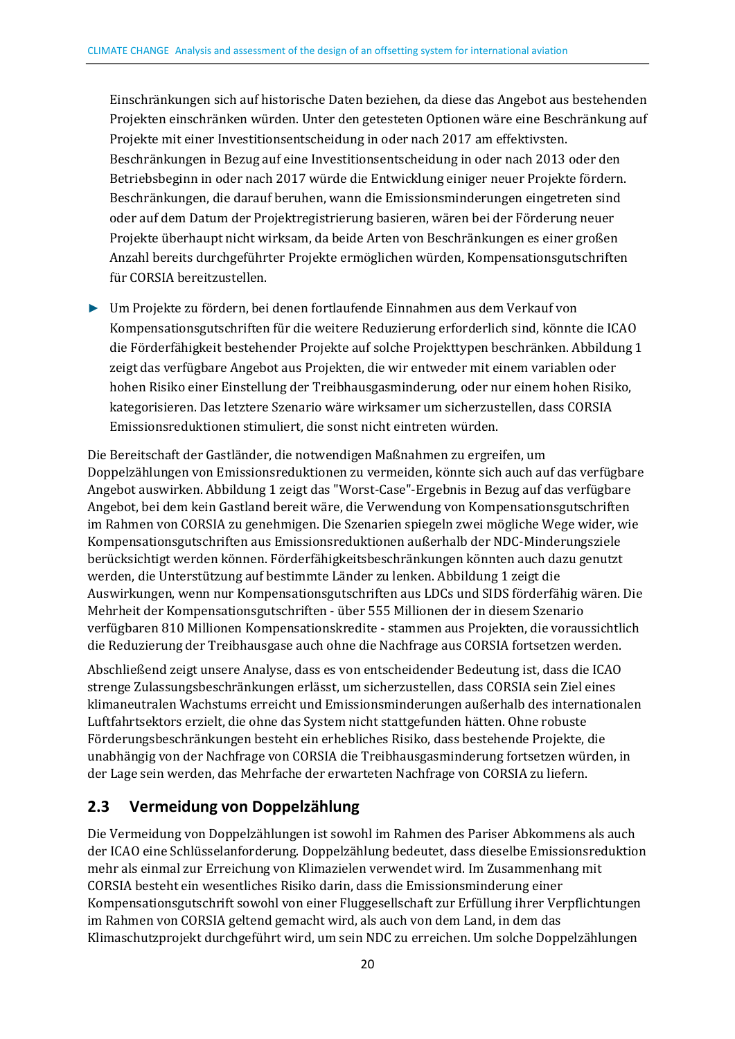Einschränkungen sich auf historische Daten beziehen, da diese das Angebot aus bestehenden Projekten einschränken würden. Unter den getesteten Optionen wäre eine Beschränkung auf Projekte mit einer Investitionsentscheidung in oder nach 2017 am effektivsten. Beschränkungen in Bezug auf eine Investitionsentscheidung in oder nach 2013 oder den Betriebsbeginn in oder nach 2017 würde die Entwicklung einiger neuer Projekte fördern. Beschränkungen, die darauf beruhen, wann die Emissionsminderungen eingetreten sind oder auf dem Datum der Projektregistrierung basieren, wären bei der Förderung neuer Projekte überhaupt nicht wirksam, da beide Arten von Beschränkungen es einer großen Anzahl bereits durchgeführter Projekte ermöglichen würden, Kompensationsgutschriften für CORSIA bereitzustellen.

► Um Projekte zu fördern, bei denen fortlaufende Einnahmen aus dem Verkauf von Kompensationsgutschriften für die weitere Reduzierung erforderlich sind, könnte die ICAO die Förderfähigkeit bestehender Projekte auf solche Projekttypen beschränken. Abbildung 1 zeigt das verfügbare Angebot aus Projekten, die wir entweder mit einem variablen oder hohen Risiko einer Einstellung der Treibhausgasminderung, oder nur einem hohen Risiko, kategorisieren. Das letztere Szenario wäre wirksamer um sicherzustellen, dass CORSIA Emissionsreduktionen stimuliert, die sonst nicht eintreten würden.

Die Bereitschaft der Gastländer, die notwendigen Maßnahmen zu ergreifen, um Doppelzählungen von Emissionsreduktionen zu vermeiden, könnte sich auch auf das verfügbare Angebot auswirken. Abbildung 1 zeigt das "Worst-Case"-Ergebnis in Bezug auf das verfügbare Angebot, bei dem kein Gastland bereit wäre, die Verwendung von Kompensationsgutschriften im Rahmen von CORSIA zu genehmigen. Die Szenarien spiegeln zwei mögliche Wege wider, wie Kompensationsgutschriften aus Emissionsreduktionen außerhalb der NDC-Minderungsziele berücksichtigt werden können. Förderfähigkeitsbeschränkungen könnten auch dazu genutzt werden, die Unterstützung auf bestimmte Länder zu lenken. Abbildung 1 zeigt die Auswirkungen, wenn nur Kompensationsgutschriften aus LDCs und SIDS förderfähig wären. Die Mehrheit der Kompensationsgutschriften - über 555 Millionen der in diesem Szenario verfügbaren 810 Millionen Kompensationskredite - stammen aus Projekten, die voraussichtlich die Reduzierung der Treibhausgase auch ohne die Nachfrage aus CORSIA fortsetzen werden.

Abschließend zeigt unsere Analyse, dass es von entscheidender Bedeutung ist, dass die ICAO strenge Zulassungsbeschränkungen erlässt, um sicherzustellen, dass CORSIA sein Ziel eines klimaneutralen Wachstums erreicht und Emissionsminderungen außerhalb des internationalen Luftfahrtsektors erzielt, die ohne das System nicht stattgefunden hätten. Ohne robuste Förderungsbeschränkungen besteht ein erhebliches Risiko, dass bestehende Projekte, die unabhängig von der Nachfrage von CORSIA die Treibhausgasminderung fortsetzen würden, in der Lage sein werden, das Mehrfache der erwarteten Nachfrage von CORSIA zu liefern.

### <span id="page-17-0"></span>**2.3 Vermeidung von Doppelzählung**

Die Vermeidung von Doppelzählungen ist sowohl im Rahmen des Pariser Abkommens als auch der ICAO eine Schlüsselanforderung. Doppelzählung bedeutet, dass dieselbe Emissionsreduktion mehr als einmal zur Erreichung von Klimazielen verwendet wird. Im Zusammenhang mit CORSIA besteht ein wesentliches Risiko darin, dass die Emissionsminderung einer Kompensationsgutschrift sowohl von einer Fluggesellschaft zur Erfüllung ihrer Verpflichtungen im Rahmen von CORSIA geltend gemacht wird, als auch von dem Land, in dem das Klimaschutzprojekt durchgeführt wird, um sein NDC zu erreichen. Um solche Doppelzählungen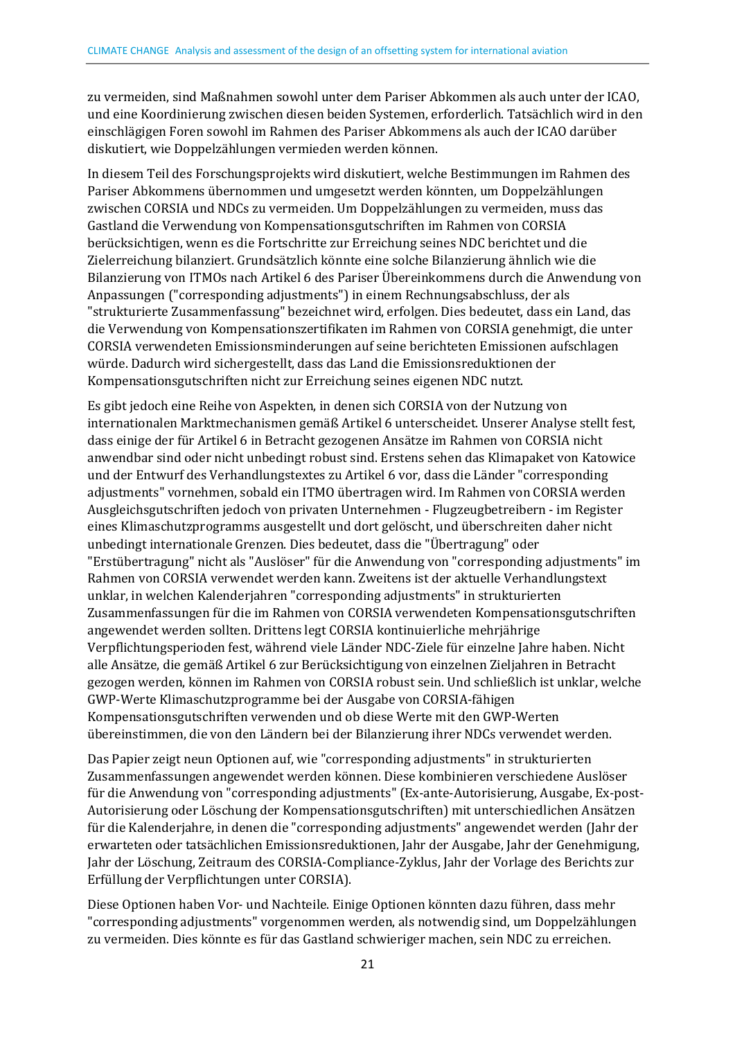zu vermeiden, sind Maßnahmen sowohl unter dem Pariser Abkommen als auch unter der ICAO, und eine Koordinierung zwischen diesen beiden Systemen, erforderlich. Tatsächlich wird in den einschlägigen Foren sowohl im Rahmen des Pariser Abkommens als auch der ICAO darüber diskutiert, wie Doppelzählungen vermieden werden können.

In diesem Teil des Forschungsprojekts wird diskutiert, welche Bestimmungen im Rahmen des Pariser Abkommens übernommen und umgesetzt werden könnten, um Doppelzählungen zwischen CORSIA und NDCs zu vermeiden. Um Doppelzählungen zu vermeiden, muss das Gastland die Verwendung von Kompensationsgutschriften im Rahmen von CORSIA berücksichtigen, wenn es die Fortschritte zur Erreichung seines NDC berichtet und die Zielerreichung bilanziert. Grundsätzlich könnte eine solche Bilanzierung ähnlich wie die Bilanzierung von ITMOs nach Artikel 6 des Pariser Übereinkommens durch die Anwendung von Anpassungen ("corresponding adjustments") in einem Rechnungsabschluss, der als "strukturierte Zusammenfassung" bezeichnet wird, erfolgen. Dies bedeutet, dass ein Land, das die Verwendung von Kompensationszertifikaten im Rahmen von CORSIA genehmigt, die unter CORSIA verwendeten Emissionsminderungen auf seine berichteten Emissionen aufschlagen würde. Dadurch wird sichergestellt, dass das Land die Emissionsreduktionen der Kompensationsgutschriften nicht zur Erreichung seines eigenen NDC nutzt.

Es gibt jedoch eine Reihe von Aspekten, in denen sich CORSIA von der Nutzung von internationalen Marktmechanismen gemäß Artikel 6 unterscheidet. Unserer Analyse stellt fest, dass einige der für Artikel 6 in Betracht gezogenen Ansätze im Rahmen von CORSIA nicht anwendbar sind oder nicht unbedingt robust sind. Erstens sehen das Klimapaket von Katowice und der Entwurf des Verhandlungstextes zu Artikel 6 vor, dass die Länder "corresponding adjustments" vornehmen, sobald ein ITMO übertragen wird. Im Rahmen von CORSIA werden Ausgleichsgutschriften jedoch von privaten Unternehmen - Flugzeugbetreibern - im Register eines Klimaschutzprogramms ausgestellt und dort gelöscht, und überschreiten daher nicht unbedingt internationale Grenzen. Dies bedeutet, dass die "Übertragung" oder "Erstübertragung" nicht als "Auslöser" für die Anwendung von "corresponding adjustments" im Rahmen von CORSIA verwendet werden kann. Zweitens ist der aktuelle Verhandlungstext unklar, in welchen Kalenderjahren "corresponding adjustments" in strukturierten Zusammenfassungen für die im Rahmen von CORSIA verwendeten Kompensationsgutschriften angewendet werden sollten. Drittens legt CORSIA kontinuierliche mehrjährige Verpflichtungsperioden fest, während viele Länder NDC-Ziele für einzelne Jahre haben. Nicht alle Ansätze, die gemäß Artikel 6 zur Berücksichtigung von einzelnen Zieljahren in Betracht gezogen werden, können im Rahmen von CORSIA robust sein. Und schließlich ist unklar, welche GWP-Werte Klimaschutzprogramme bei der Ausgabe von CORSIA-fähigen Kompensationsgutschriften verwenden und ob diese Werte mit den GWP-Werten übereinstimmen, die von den Ländern bei der Bilanzierung ihrer NDCs verwendet werden.

Das Papier zeigt neun Optionen auf, wie "corresponding adjustments" in strukturierten Zusammenfassungen angewendet werden können. Diese kombinieren verschiedene Auslöser für die Anwendung von "corresponding adjustments" (Ex-ante-Autorisierung, Ausgabe, Ex-post-Autorisierung oder Löschung der Kompensationsgutschriften) mit unterschiedlichen Ansätzen für die Kalenderjahre, in denen die "corresponding adjustments" angewendet werden (Jahr der erwarteten oder tatsächlichen Emissionsreduktionen, Jahr der Ausgabe, Jahr der Genehmigung, Jahr der Löschung, Zeitraum des CORSIA-Compliance-Zyklus, Jahr der Vorlage des Berichts zur Erfüllung der Verpflichtungen unter CORSIA).

Diese Optionen haben Vor- und Nachteile. Einige Optionen könnten dazu führen, dass mehr "corresponding adjustments" vorgenommen werden, als notwendig sind, um Doppelzählungen zu vermeiden. Dies könnte es für das Gastland schwieriger machen, sein NDC zu erreichen.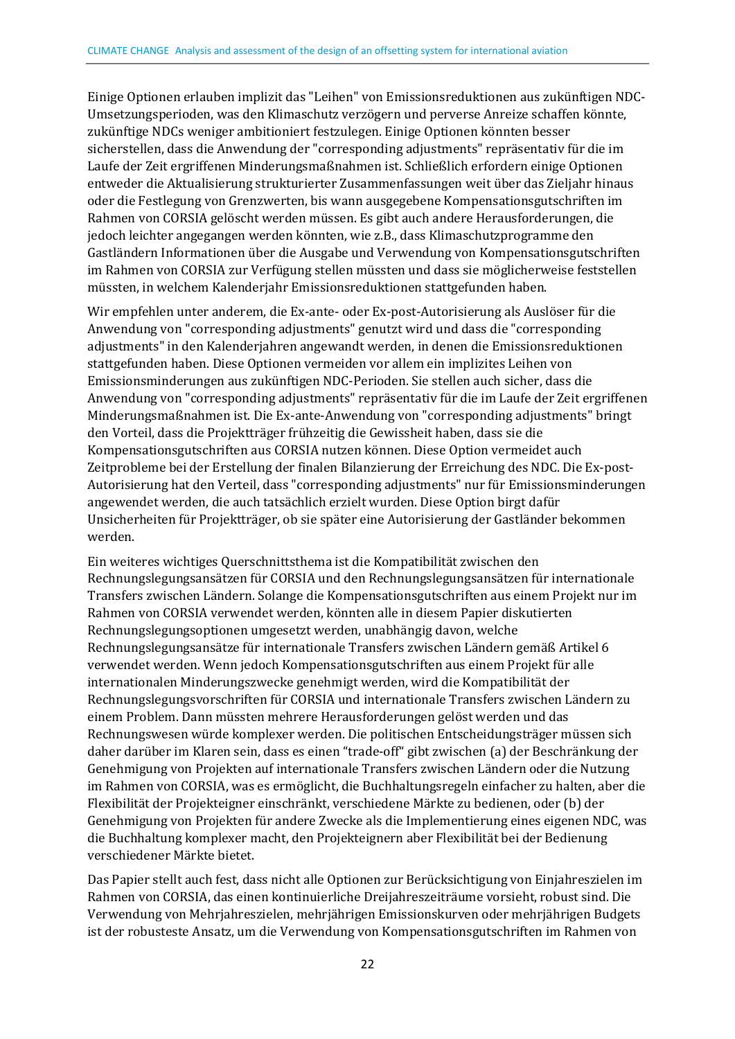Einige Optionen erlauben implizit das "Leihen" von Emissionsreduktionen aus zukünftigen NDC-Umsetzungsperioden, was den Klimaschutz verzögern und perverse Anreize schaffen könnte, zukünftige NDCs weniger ambitioniert festzulegen. Einige Optionen könnten besser sicherstellen, dass die Anwendung der "corresponding adjustments" repräsentativ für die im Laufe der Zeit ergriffenen Minderungsmaßnahmen ist. Schließlich erfordern einige Optionen entweder die Aktualisierung strukturierter Zusammenfassungen weit über das Zieljahr hinaus oder die Festlegung von Grenzwerten, bis wann ausgegebene Kompensationsgutschriften im Rahmen von CORSIA gelöscht werden müssen. Es gibt auch andere Herausforderungen, die jedoch leichter angegangen werden könnten, wie z.B., dass Klimaschutzprogramme den Gastländern Informationen über die Ausgabe und Verwendung von Kompensationsgutschriften im Rahmen von CORSIA zur Verfügung stellen müssten und dass sie möglicherweise feststellen müssten, in welchem Kalenderjahr Emissionsreduktionen stattgefunden haben.

Wir empfehlen unter anderem, die Ex-ante- oder Ex-post-Autorisierung als Auslöser für die Anwendung von "corresponding adjustments" genutzt wird und dass die "corresponding adjustments" in den Kalenderjahren angewandt werden, in denen die Emissionsreduktionen stattgefunden haben. Diese Optionen vermeiden vor allem ein implizites Leihen von Emissionsminderungen aus zukünftigen NDC-Perioden. Sie stellen auch sicher, dass die Anwendung von "corresponding adjustments" repräsentativ für die im Laufe der Zeit ergriffenen Minderungsmaßnahmen ist. Die Ex-ante-Anwendung von "corresponding adjustments" bringt den Vorteil, dass die Projektträger frühzeitig die Gewissheit haben, dass sie die Kompensationsgutschriften aus CORSIA nutzen können. Diese Option vermeidet auch Zeitprobleme bei der Erstellung der finalen Bilanzierung der Erreichung des NDC. Die Ex-post-Autorisierung hat den Verteil, dass "corresponding adjustments" nur für Emissionsminderungen angewendet werden, die auch tatsächlich erzielt wurden. Diese Option birgt dafür Unsicherheiten für Projektträger, ob sie später eine Autorisierung der Gastländer bekommen werden.

Ein weiteres wichtiges Querschnittsthema ist die Kompatibilität zwischen den Rechnungslegungsansätzen für CORSIA und den Rechnungslegungsansätzen für internationale Transfers zwischen Ländern. Solange die Kompensationsgutschriften aus einem Projekt nur im Rahmen von CORSIA verwendet werden, könnten alle in diesem Papier diskutierten Rechnungslegungsoptionen umgesetzt werden, unabhängig davon, welche Rechnungslegungsansätze für internationale Transfers zwischen Ländern gemäß Artikel 6 verwendet werden. Wenn jedoch Kompensationsgutschriften aus einem Projekt für alle internationalen Minderungszwecke genehmigt werden, wird die Kompatibilität der Rechnungslegungsvorschriften für CORSIA und internationale Transfers zwischen Ländern zu einem Problem. Dann müssten mehrere Herausforderungen gelöst werden und das Rechnungswesen würde komplexer werden. Die politischen Entscheidungsträger müssen sich daher darüber im Klaren sein, dass es einen "trade-off" gibt zwischen (a) der Beschränkung der Genehmigung von Projekten auf internationale Transfers zwischen Ländern oder die Nutzung im Rahmen von CORSIA, was es ermöglicht, die Buchhaltungsregeln einfacher zu halten, aber die Flexibilität der Projekteigner einschränkt, verschiedene Märkte zu bedienen, oder (b) der Genehmigung von Projekten für andere Zwecke als die Implementierung eines eigenen NDC, was die Buchhaltung komplexer macht, den Projekteignern aber Flexibilität bei der Bedienung verschiedener Märkte bietet.

Das Papier stellt auch fest, dass nicht alle Optionen zur Berücksichtigung von Einjahreszielen im Rahmen von CORSIA, das einen kontinuierliche Dreijahreszeiträume vorsieht, robust sind. Die Verwendung von Mehrjahreszielen, mehrjährigen Emissionskurven oder mehrjährigen Budgets ist der robusteste Ansatz, um die Verwendung von Kompensationsgutschriften im Rahmen von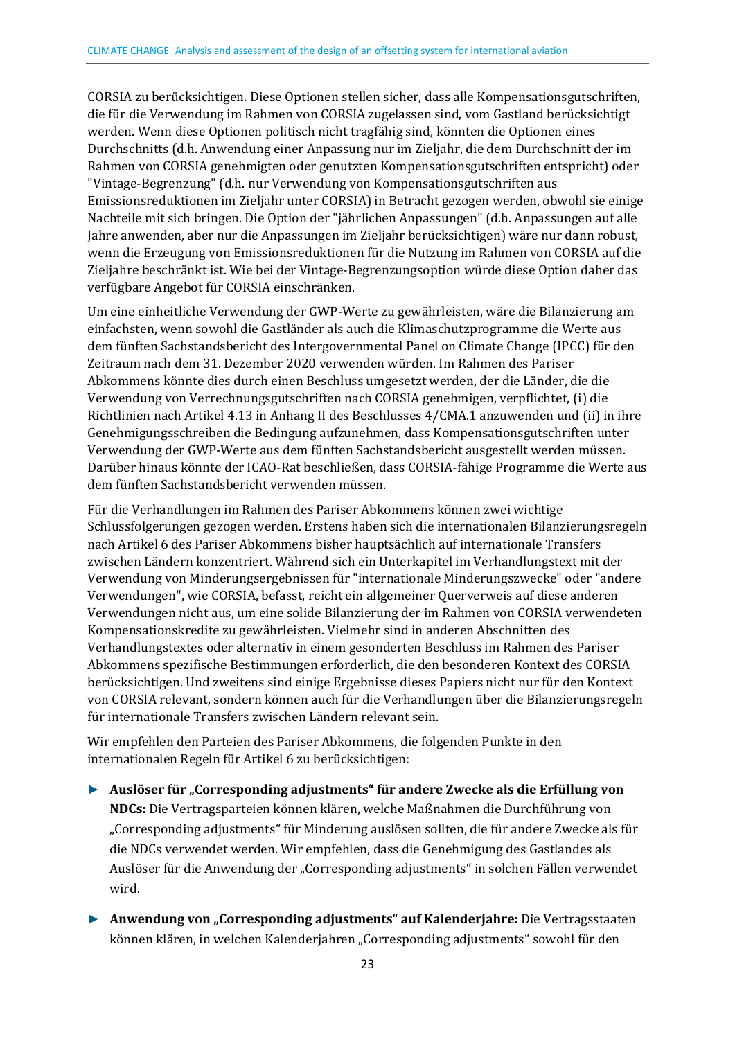CORSIA zu berücksichtigen. Diese Optionen stellen sicher, dass alle Kompensationsgutschriften, die für die Verwendung im Rahmen von CORSIA zugelassen sind, vom Gastland berücksichtigt werden. Wenn diese Optionen politisch nicht tragfähig sind, könnten die Optionen eines Durchschnitts (d.h. Anwendung einer Anpassung nur im Zieljahr, die dem Durchschnitt der im Rahmen von CORSIA genehmigten oder genutzten Kompensationsgutschriften entspricht) oder "Vintage-Begrenzung" (d.h. nur Verwendung von Kompensationsgutschriften aus Emissionsreduktionen im Zieljahr unter CORSIA) in Betracht gezogen werden, obwohl sie einige Nachteile mit sich bringen. Die Option der "jährlichen Anpassungen" (d.h. Anpassungen auf alle Jahre anwenden, aber nur die Anpassungen im Zieljahr berücksichtigen) wäre nur dann robust, wenn die Erzeugung von Emissionsreduktionen für die Nutzung im Rahmen von CORSIA auf die Zieljahre beschränkt ist. Wie bei der Vintage-Begrenzungsoption würde diese Option daher das verfügbare Angebot für CORSIA einschränken.

Um eine einheitliche Verwendung der GWP-Werte zu gewährleisten, wäre die Bilanzierung am einfachsten, wenn sowohl die Gastländer als auch die Klimaschutzprogramme die Werte aus dem fünften Sachstandsbericht des Intergovernmental Panel on Climate Change (IPCC) für den Zeitraum nach dem 31. Dezember 2020 verwenden würden. Im Rahmen des Pariser Abkommens könnte dies durch einen Beschluss umgesetzt werden, der die Länder, die die Verwendung von Verrechnungsgutschriften nach CORSIA genehmigen, verpflichtet, (i) die Richtlinien nach Artikel 4.13 in Anhang II des Beschlusses 4/CMA.1 anzuwenden und (ii) in ihre Genehmigungsschreiben die Bedingung aufzunehmen, dass Kompensationsgutschriften unter Verwendung der GWP-Werte aus dem fünften Sachstandsbericht ausgestellt werden müssen. Darüber hinaus könnte der ICAO-Rat beschließen, dass CORSIA-fähige Programme die Werte aus dem fünften Sachstandsbericht verwenden müssen.

Für die Verhandlungen im Rahmen des Pariser Abkommens können zwei wichtige Schlussfolgerungen gezogen werden. Erstens haben sich die internationalen Bilanzierungsregeln nach Artikel 6 des Pariser Abkommens bisher hauptsächlich auf internationale Transfers zwischen Ländern konzentriert. Während sich ein Unterkapitel im Verhandlungstext mit der Verwendung von Minderungsergebnissen für "internationale Minderungszwecke" oder "andere Verwendungen", wie CORSIA, befasst, reicht ein allgemeiner Querverweis auf diese anderen Verwendungen nicht aus, um eine solide Bilanzierung der im Rahmen von CORSIA verwendeten Kompensationskredite zu gewährleisten. Vielmehr sind in anderen Abschnitten des Verhandlungstextes oder alternativ in einem gesonderten Beschluss im Rahmen des Pariser Abkommens spezifische Bestimmungen erforderlich, die den besonderen Kontext des CORSIA berücksichtigen. Und zweitens sind einige Ergebnisse dieses Papiers nicht nur für den Kontext von CORSIA relevant, sondern können auch für die Verhandlungen über die Bilanzierungsregeln für internationale Transfers zwischen Ländern relevant sein.

Wir empfehlen den Parteien des Pariser Abkommens, die folgenden Punkte in den internationalen Regeln für Artikel 6 zu berücksichtigen:

- ► **Auslöser für "Corresponding adjustments" für andere Zwecke als die Erfüllung von NDCs:** Die Vertragsparteien können klären, welche Maßnahmen die Durchführung von "Corresponding adjustments" für Minderung auslösen sollten, die für andere Zwecke als für die NDCs verwendet werden. Wir empfehlen, dass die Genehmigung des Gastlandes als Auslöser für die Anwendung der "Corresponding adjustments" in solchen Fällen verwendet wird.
- ► **Anwendung von "Corresponding adjustments" auf Kalenderjahre:** Die Vertragsstaaten können klären, in welchen Kalenderjahren "Corresponding adjustments" sowohl für den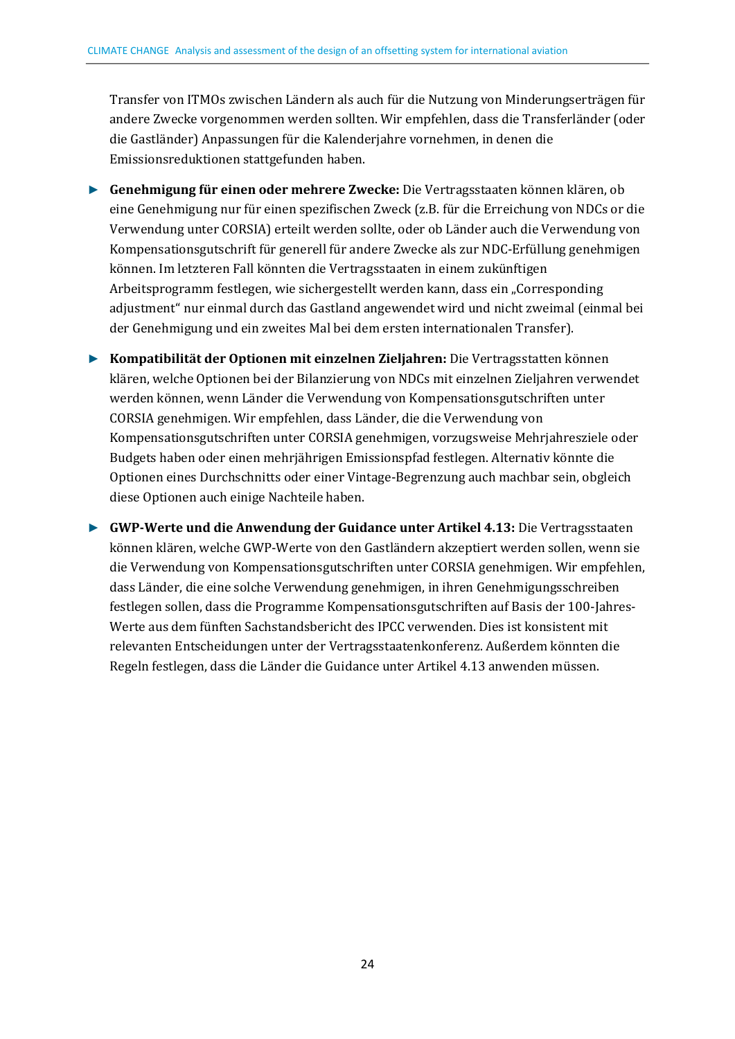Transfer von ITMOs zwischen Ländern als auch für die Nutzung von Minderungserträgen für andere Zwecke vorgenommen werden sollten. Wir empfehlen, dass die Transferländer (oder die Gastländer) Anpassungen für die Kalenderjahre vornehmen, in denen die Emissionsreduktionen stattgefunden haben.

- ► **Genehmigung für einen oder mehrere Zwecke:** Die Vertragsstaaten können klären, ob eine Genehmigung nur für einen spezifischen Zweck (z.B. für die Erreichung von NDCs or die Verwendung unter CORSIA) erteilt werden sollte, oder ob Länder auch die Verwendung von Kompensationsgutschrift für generell für andere Zwecke als zur NDC-Erfüllung genehmigen können. Im letzteren Fall könnten die Vertragsstaaten in einem zukünftigen Arbeitsprogramm festlegen, wie sichergestellt werden kann, dass ein "Corresponding adjustment" nur einmal durch das Gastland angewendet wird und nicht zweimal (einmal bei der Genehmigung und ein zweites Mal bei dem ersten internationalen Transfer).
- ► **Kompatibilität der Optionen mit einzelnen Zieljahren:** Die Vertragsstatten können klären, welche Optionen bei der Bilanzierung von NDCs mit einzelnen Zieljahren verwendet werden können, wenn Länder die Verwendung von Kompensationsgutschriften unter CORSIA genehmigen. Wir empfehlen, dass Länder, die die Verwendung von Kompensationsgutschriften unter CORSIA genehmigen, vorzugsweise Mehrjahresziele oder Budgets haben oder einen mehrjährigen Emissionspfad festlegen. Alternativ könnte die Optionen eines Durchschnitts oder einer Vintage-Begrenzung auch machbar sein, obgleich diese Optionen auch einige Nachteile haben.

► **GWP-Werte und die Anwendung der Guidance unter Artikel 4.13:** Die Vertragsstaaten können klären, welche GWP-Werte von den Gastländern akzeptiert werden sollen, wenn sie die Verwendung von Kompensationsgutschriften unter CORSIA genehmigen. Wir empfehlen, dass Länder, die eine solche Verwendung genehmigen, in ihren Genehmigungsschreiben festlegen sollen, dass die Programme Kompensationsgutschriften auf Basis der 100-Jahres-Werte aus dem fünften Sachstandsbericht des IPCC verwenden. Dies ist konsistent mit relevanten Entscheidungen unter der Vertragsstaatenkonferenz. Außerdem könnten die Regeln festlegen, dass die Länder die Guidance unter Artikel 4.13 anwenden müssen.